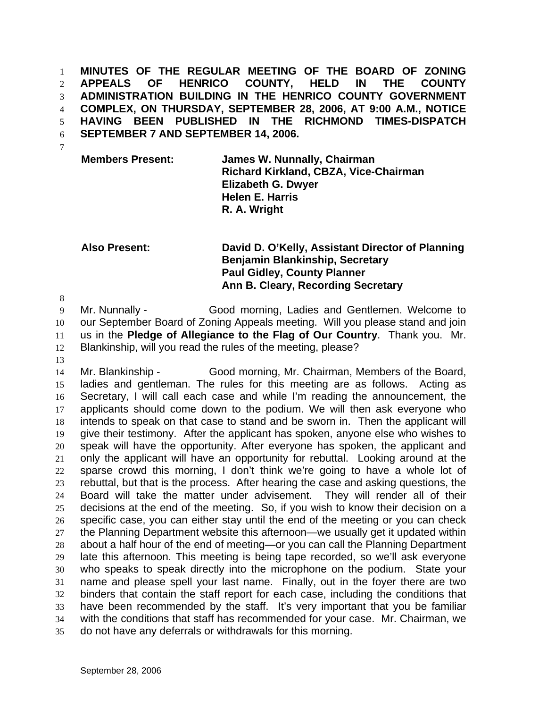**MINUTES OF THE REGULAR MEETING OF THE BOARD OF ZONING APPEALS OF HENRICO COUNTY, HELD IN THE COUNTY ADMINISTRATION BUILDING IN THE HENRICO COUNTY GOVERNMENT COMPLEX, ON THURSDAY, SEPTEMBER 28, 2006, AT 9:00 A.M., NOTICE HAVING BEEN PUBLISHED IN THE RICHMOND TIMES-DISPATCH SEPTEMBER 7 AND SEPTEMBER 14, 2006.**  1 2 3 4 5 6 7

**Members Present: James W. Nunnally, Chairman Richard Kirkland, CBZA, Vice-Chairman Elizabeth G. Dwyer Helen E. Harris R. A. Wright** 

## **Also Present: David D. O'Kelly, Assistant Director of Planning Benjamin Blankinship, Secretary Paul Gidley, County Planner Ann B. Cleary, Recording Secretary**

9 10 11 12 Mr. Nunnally - Good morning, Ladies and Gentlemen. Welcome to our September Board of Zoning Appeals meeting. Will you please stand and join us in the **Pledge of Allegiance to the Flag of Our Country**. Thank you. Mr. Blankinship, will you read the rules of the meeting, please?

13

8

14 15 16 17 18 19 20 21 22 23 24 25 26 27 28 29 30 31 32 33 34 35 Mr. Blankinship - Good morning, Mr. Chairman, Members of the Board, ladies and gentleman. The rules for this meeting are as follows. Acting as Secretary, I will call each case and while I'm reading the announcement, the applicants should come down to the podium. We will then ask everyone who intends to speak on that case to stand and be sworn in. Then the applicant will give their testimony. After the applicant has spoken, anyone else who wishes to speak will have the opportunity. After everyone has spoken, the applicant and only the applicant will have an opportunity for rebuttal. Looking around at the sparse crowd this morning, I don't think we're going to have a whole lot of rebuttal, but that is the process. After hearing the case and asking questions, the Board will take the matter under advisement. They will render all of their decisions at the end of the meeting. So, if you wish to know their decision on a specific case, you can either stay until the end of the meeting or you can check the Planning Department website this afternoon—we usually get it updated within about a half hour of the end of meeting—or you can call the Planning Department late this afternoon. This meeting is being tape recorded, so we'll ask everyone who speaks to speak directly into the microphone on the podium. State your name and please spell your last name. Finally, out in the foyer there are two binders that contain the staff report for each case, including the conditions that have been recommended by the staff. It's very important that you be familiar with the conditions that staff has recommended for your case. Mr. Chairman, we do not have any deferrals or withdrawals for this morning.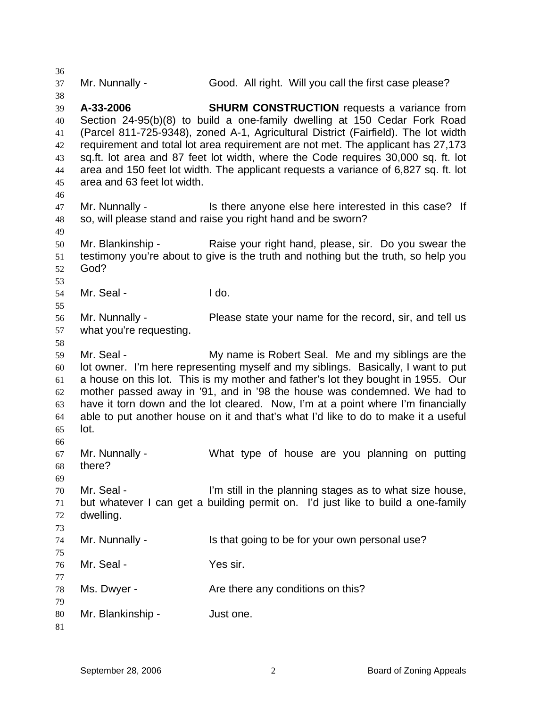36 37 38 39 40 41 42 43 44 45 46 47 48 49 50 51 52 53 54 55 56 57 58 59 60 61 62 63 64 65 66 67 68 69 70 71 72 73 74 75 76 77 78 79 80 81 Mr. Nunnally - Good. All right. Will you call the first case please? **A-33-2006 SHURM CONSTRUCTION** requests a variance from Section 24-95(b)(8) to build a one-family dwelling at 150 Cedar Fork Road (Parcel 811-725-9348), zoned A-1, Agricultural District (Fairfield). The lot width requirement and total lot area requirement are not met. The applicant has 27,173 sq.ft. lot area and 87 feet lot width, where the Code requires 30,000 sq. ft. lot area and 150 feet lot width. The applicant requests a variance of 6,827 sq. ft. lot area and 63 feet lot width. Mr. Nunnally - Is there anyone else here interested in this case? If so, will please stand and raise you right hand and be sworn? Mr. Blankinship - Raise your right hand, please, sir. Do you swear the testimony you're about to give is the truth and nothing but the truth, so help you God? Mr. Seal - I do. Mr. Nunnally - Please state your name for the record, sir, and tell us what you're requesting. Mr. Seal - The My name is Robert Seal. Me and my siblings are the lot owner. I'm here representing myself and my siblings. Basically, I want to put a house on this lot. This is my mother and father's lot they bought in 1955. Our mother passed away in '91, and in '98 the house was condemned. We had to have it torn down and the lot cleared. Now, I'm at a point where I'm financially able to put another house on it and that's what I'd like to do to make it a useful lot. Mr. Nunnally - What type of house are you planning on putting there? Mr. Seal - The Still in the planning stages as to what size house, but whatever I can get a building permit on. I'd just like to build a one-family dwelling. Mr. Nunnally - Is that going to be for your own personal use? Mr. Seal - Yes sir. Ms. Dwyer - The Are there any conditions on this? Mr. Blankinship - Just one.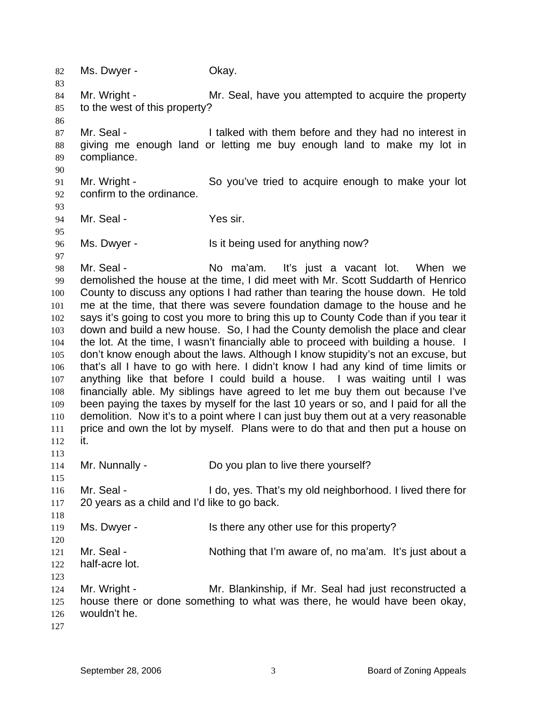82 Ms. Dwyer - Ckay. 83 84 85 86 87 88 89 90 91 92 93 94 95 96 97 98 99 100 101 102 103 104 105 106 107 108 109 110 111 112 113 114 115 116 117 118 119 120 121 122 123 124 125 126 127 Mr. Wright - Mr. Seal, have you attempted to acquire the property to the west of this property? Mr. Seal - The I talked with them before and they had no interest in giving me enough land or letting me buy enough land to make my lot in compliance. Mr. Wright - So you've tried to acquire enough to make your lot confirm to the ordinance. Mr. Seal - Yes sir. Ms. Dwyer - Is it being used for anything now? Mr. Seal - No ma'am. It's just a vacant lot. When we demolished the house at the time, I did meet with Mr. Scott Suddarth of Henrico County to discuss any options I had rather than tearing the house down. He told me at the time, that there was severe foundation damage to the house and he says it's going to cost you more to bring this up to County Code than if you tear it down and build a new house. So, I had the County demolish the place and clear the lot. At the time, I wasn't financially able to proceed with building a house. I don't know enough about the laws. Although I know stupidity's not an excuse, but that's all I have to go with here. I didn't know I had any kind of time limits or anything like that before I could build a house. I was waiting until I was financially able. My siblings have agreed to let me buy them out because I've been paying the taxes by myself for the last 10 years or so, and I paid for all the demolition. Now it's to a point where I can just buy them out at a very reasonable price and own the lot by myself. Plans were to do that and then put a house on it. Mr. Nunnally - Do you plan to live there yourself? Mr. Seal - I do, yes. That's my old neighborhood. I lived there for 20 years as a child and I'd like to go back. Ms. Dwyer - Is there any other use for this property? Mr. Seal - Nothing that I'm aware of, no ma'am. It's just about a half-acre lot. Mr. Wright - Mr. Blankinship, if Mr. Seal had just reconstructed a house there or done something to what was there, he would have been okay, wouldn't he.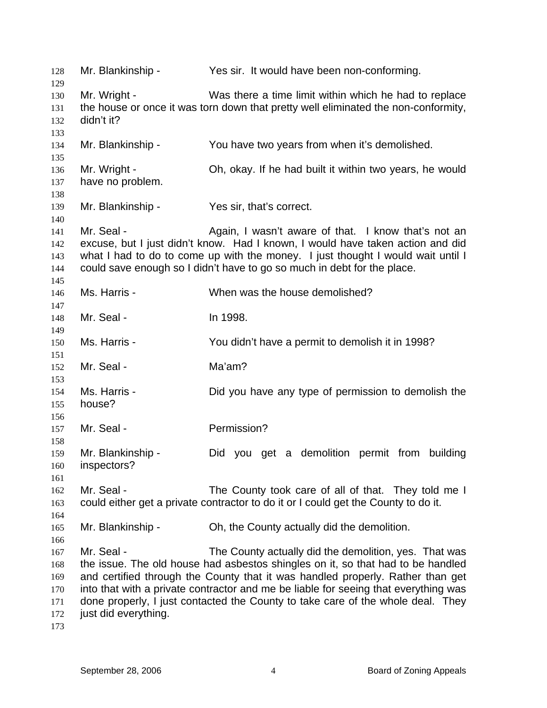| 128        | Mr. Blankinship -    | Yes sir. It would have been non-conforming.                                                                                                                            |
|------------|----------------------|------------------------------------------------------------------------------------------------------------------------------------------------------------------------|
| 129        | Mr. Wright -         | Was there a time limit within which he had to replace                                                                                                                  |
| 130        |                      |                                                                                                                                                                        |
| 131        |                      | the house or once it was torn down that pretty well eliminated the non-conformity,                                                                                     |
| 132        | didn't it?           |                                                                                                                                                                        |
| 133        |                      |                                                                                                                                                                        |
| 134<br>135 | Mr. Blankinship -    | You have two years from when it's demolished.                                                                                                                          |
| 136        | Mr. Wright -         | Oh, okay. If he had built it within two years, he would                                                                                                                |
| 137        | have no problem.     |                                                                                                                                                                        |
| 138        |                      |                                                                                                                                                                        |
| 139        | Mr. Blankinship -    | Yes sir, that's correct.                                                                                                                                               |
| 140        |                      |                                                                                                                                                                        |
| 141        | Mr. Seal -           | Again, I wasn't aware of that. I know that's not an                                                                                                                    |
| 142        |                      | excuse, but I just didn't know. Had I known, I would have taken action and did                                                                                         |
| 143        |                      | what I had to do to come up with the money. I just thought I would wait until I                                                                                        |
| 144        |                      | could save enough so I didn't have to go so much in debt for the place.                                                                                                |
| 145        |                      |                                                                                                                                                                        |
| 146        | Ms. Harris -         | When was the house demolished?                                                                                                                                         |
| 147        |                      |                                                                                                                                                                        |
| 148        | Mr. Seal -           | In 1998.                                                                                                                                                               |
| 149        |                      |                                                                                                                                                                        |
| 150        | Ms. Harris -         | You didn't have a permit to demolish it in 1998?                                                                                                                       |
| 151        |                      |                                                                                                                                                                        |
| 152        | Mr. Seal -           | Ma'am?                                                                                                                                                                 |
| 153        |                      |                                                                                                                                                                        |
| 154        | Ms. Harris -         | Did you have any type of permission to demolish the                                                                                                                    |
| 155        | house?               |                                                                                                                                                                        |
| 156        |                      |                                                                                                                                                                        |
| 157        | Mr. Seal -           | Permission?                                                                                                                                                            |
| 158        |                      |                                                                                                                                                                        |
| 159        | Mr. Blankinship -    | Did you get a demolition permit from building                                                                                                                          |
| 160        | inspectors?          |                                                                                                                                                                        |
| 161        |                      |                                                                                                                                                                        |
| 162        | Mr. Seal -           | The County took care of all of that. They told me I                                                                                                                    |
| 163        |                      | could either get a private contractor to do it or I could get the County to do it.                                                                                     |
| 164        |                      |                                                                                                                                                                        |
| 165        | Mr. Blankinship -    | Oh, the County actually did the demolition.                                                                                                                            |
| 166        |                      |                                                                                                                                                                        |
| 167        | Mr. Seal -           | The County actually did the demolition, yes. That was                                                                                                                  |
| 168        |                      | the issue. The old house had asbestos shingles on it, so that had to be handled                                                                                        |
| 169        |                      | and certified through the County that it was handled properly. Rather than get                                                                                         |
| 170        |                      | into that with a private contractor and me be liable for seeing that everything was<br>done properly, I just contacted the County to take care of the whole deal. They |
| 171<br>172 | just did everything. |                                                                                                                                                                        |
| 173        |                      |                                                                                                                                                                        |
|            |                      |                                                                                                                                                                        |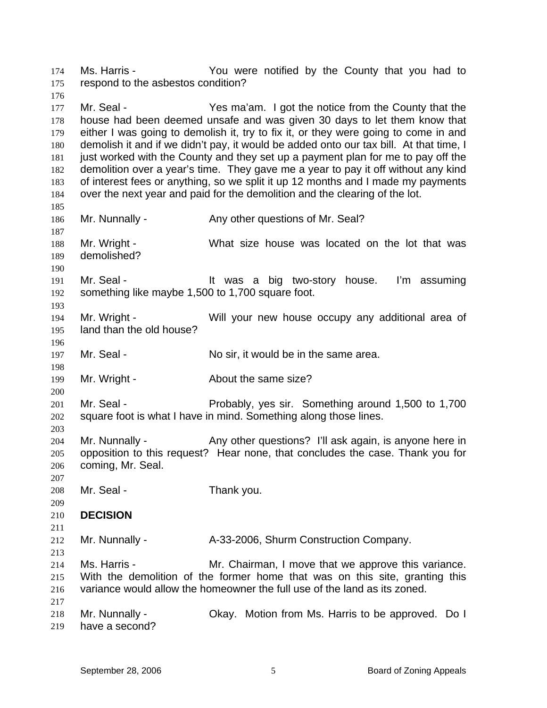Ms. Harris - You were notified by the County that you had to respond to the asbestos condition? 174 175 176

177 178 179 180 181 182 183 184 185 Mr. Seal - Yes ma'am. I got the notice from the County that the house had been deemed unsafe and was given 30 days to let them know that either I was going to demolish it, try to fix it, or they were going to come in and demolish it and if we didn't pay, it would be added onto our tax bill. At that time, I just worked with the County and they set up a payment plan for me to pay off the demolition over a year's time. They gave me a year to pay it off without any kind of interest fees or anything, so we split it up 12 months and I made my payments over the next year and paid for the demolition and the clearing of the lot.

186 187 188 189 Mr. Nunnally - Any other questions of Mr. Seal? Mr. Wright - What size house was located on the lot that was demolished?

191 192 Mr. Seal - The Mustable of two-story house. I'm assuming something like maybe 1,500 to 1,700 square foot.

194 195 Mr. Wright - Will your new house occupy any additional area of land than the old house?

197 Mr. Seal - No sir, it would be in the same area.

199 Mr. Wright - The About the same size?

201 202 Mr. Seal - **Probably, yes sir.** Something around 1,500 to 1,700 square foot is what I have in mind. Something along those lines.

204 205 206 Mr. Nunnally - Any other questions? I'll ask again, is anyone here in opposition to this request? Hear none, that concludes the case. Thank you for coming, Mr. Seal.

207 208 Mr. Seal - Thank you.

209 210 **DECISION** 

190

193

196

198

200

203

213

217

211 212 Mr. Nunnally - A-33-2006, Shurm Construction Company.

214 215 216 Ms. Harris - Mr. Chairman, I move that we approve this variance. With the demolition of the former home that was on this site, granting this variance would allow the homeowner the full use of the land as its zoned.

218 219 Mr. Nunnally - Ckay. Motion from Ms. Harris to be approved. Do I have a second?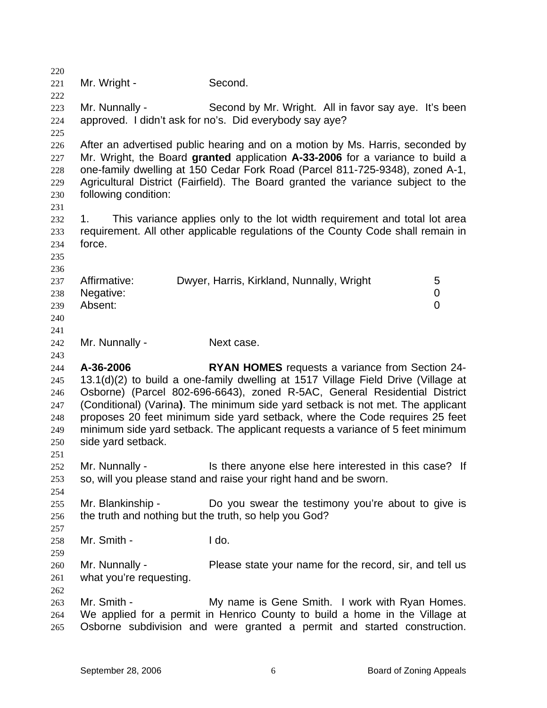220 221 222 223 224 225 226 227 228 229 230 231 232 233 234 235 236 237 238 239 240 241 242 243 244 245 246 247 248 249 250 251 252 253 254 255 256 257 258 259 260 261 262 263 264 265 Mr. Wright - Second. Mr. Nunnally - Second by Mr. Wright. All in favor say aye. It's been approved. I didn't ask for no's. Did everybody say aye? After an advertised public hearing and on a motion by Ms. Harris, seconded by Mr. Wright, the Board **granted** application **A-33-2006** for a variance to build a one-family dwelling at 150 Cedar Fork Road (Parcel 811-725-9348), zoned A-1, Agricultural District (Fairfield). The Board granted the variance subject to the following condition: 1. This variance applies only to the lot width requirement and total lot area requirement. All other applicable regulations of the County Code shall remain in force. Affirmative: Dwyer, Harris, Kirkland, Nunnally, Wright 5 Negative: 0 Absent: 0 Mr. Nunnally - Next case. **A-36-2006 RYAN HOMES** requests a variance from Section 24- 13.1(d)(2) to build a one-family dwelling at 1517 Village Field Drive (Village at Osborne) (Parcel 802-696-6643), zoned R-5AC, General Residential District (Conditional) (Varina**)**. The minimum side yard setback is not met. The applicant proposes 20 feet minimum side yard setback, where the Code requires 25 feet minimum side yard setback. The applicant requests a variance of 5 feet minimum side yard setback. Mr. Nunnally - This there anyone else here interested in this case? If so, will you please stand and raise your right hand and be sworn. Mr. Blankinship - The Do you swear the testimony you're about to give is the truth and nothing but the truth, so help you God? Mr. Smith - I do. Mr. Nunnally - Please state your name for the record, sir, and tell us what you're requesting. Mr. Smith - My name is Gene Smith. I work with Ryan Homes. We applied for a permit in Henrico County to build a home in the Village at Osborne subdivision and were granted a permit and started construction.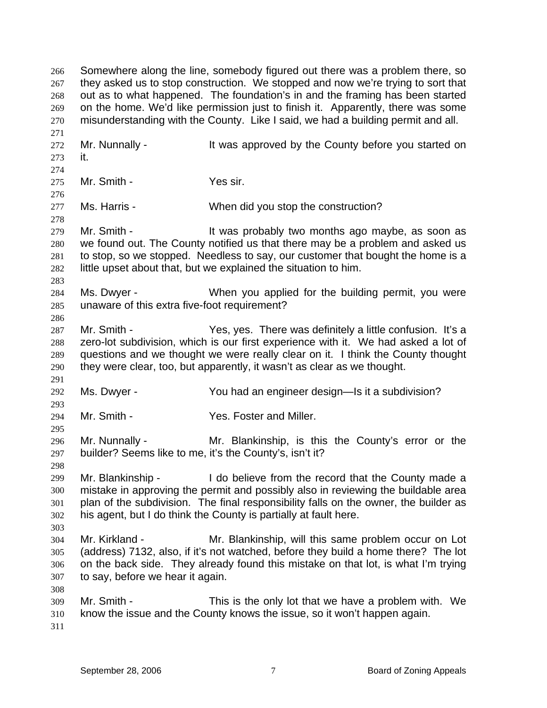Somewhere along the line, somebody figured out there was a problem there, so they asked us to stop construction. We stopped and now we're trying to sort that out as to what happened. The foundation's in and the framing has been started on the home. We'd like permission just to finish it. Apparently, there was some misunderstanding with the County. Like I said, we had a building permit and all. 266 267 268 269 270 271 272 273 274 275 276 277 278 279 280 281 282 283 284 285 286 287 288 289 290 291 292 293 294 295 296 297 298 299 300 301 302 303 304 305 306 307 308 309 310 311 Mr. Nunnally - It was approved by the County before you started on it. Mr. Smith - Yes sir. Ms. Harris - When did you stop the construction? Mr. Smith - The Mustain of the School as a soon as it was probably two months ago maybe, as soon as we found out. The County notified us that there may be a problem and asked us to stop, so we stopped. Needless to say, our customer that bought the home is a little upset about that, but we explained the situation to him. Ms. Dwyer - When you applied for the building permit, you were unaware of this extra five-foot requirement? Mr. Smith - Yes, yes. There was definitely a little confusion. It's a zero-lot subdivision, which is our first experience with it. We had asked a lot of questions and we thought we were really clear on it. I think the County thought they were clear, too, but apparently, it wasn't as clear as we thought. Ms. Dwyer - The You had an engineer design—Is it a subdivision? Mr. Smith - The Yes. Foster and Miller. Mr. Nunnally - Mr. Blankinship, is this the County's error or the builder? Seems like to me, it's the County's, isn't it? Mr. Blankinship - The lot believe from the record that the County made a mistake in approving the permit and possibly also in reviewing the buildable area plan of the subdivision. The final responsibility falls on the owner, the builder as his agent, but I do think the County is partially at fault here. Mr. Kirkland - Mr. Blankinship, will this same problem occur on Lot (address) 7132, also, if it's not watched, before they build a home there? The lot on the back side. They already found this mistake on that lot, is what I'm trying to say, before we hear it again. Mr. Smith - This is the only lot that we have a problem with. We know the issue and the County knows the issue, so it won't happen again.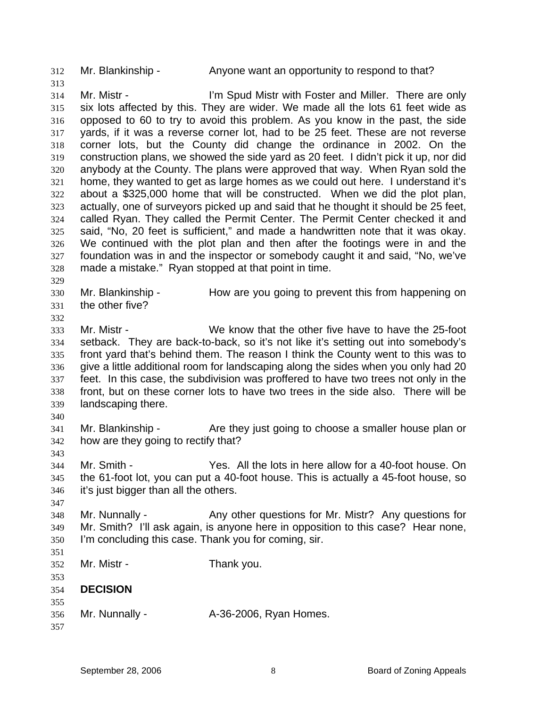312 Mr. Blankinship - Anyone want an opportunity to respond to that?

314 315 316 317 318 319 320 321 322 323 324 325 326 327 328 Mr. Mistr - The Muslim Spud Mistr with Foster and Miller. There are only six lots affected by this. They are wider. We made all the lots 61 feet wide as opposed to 60 to try to avoid this problem. As you know in the past, the side yards, if it was a reverse corner lot, had to be 25 feet. These are not reverse corner lots, but the County did change the ordinance in 2002. On the construction plans, we showed the side yard as 20 feet. I didn't pick it up, nor did anybody at the County. The plans were approved that way. When Ryan sold the home, they wanted to get as large homes as we could out here. I understand it's about a \$325,000 home that will be constructed. When we did the plot plan, actually, one of surveyors picked up and said that he thought it should be 25 feet, called Ryan. They called the Permit Center. The Permit Center checked it and said, "No, 20 feet is sufficient," and made a handwritten note that it was okay. We continued with the plot plan and then after the footings were in and the foundation was in and the inspector or somebody caught it and said, "No, we've made a mistake." Ryan stopped at that point in time.

- 330 331 Mr. Blankinship - How are you going to prevent this from happening on the other five?
- 332

329

313

333 334 335 336 337 338 339 Mr. Mistr - We know that the other five have to have the 25-foot setback. They are back-to-back, so it's not like it's setting out into somebody's front yard that's behind them. The reason I think the County went to this was to give a little additional room for landscaping along the sides when you only had 20 feet. In this case, the subdivision was proffered to have two trees not only in the front, but on these corner lots to have two trees in the side also. There will be landscaping there.

340

343

347

- 341 342 Mr. Blankinship - The same they just going to choose a smaller house plan or how are they going to rectify that?
- 344 345 346 Mr. Smith - Yes. All the lots in here allow for a 40-foot house. On the 61-foot lot, you can put a 40-foot house. This is actually a 45-foot house, so it's just bigger than all the others.
- 348 349 350 Mr. Nunnally - Any other questions for Mr. Mistr? Any questions for Mr. Smith? I'll ask again, is anyone here in opposition to this case? Hear none, I'm concluding this case. Thank you for coming, sir.
- 351 352 353 354 355 356 357 Mr. Mistr - Thank you. **DECISION**  Mr. Nunnally - A-36-2006, Ryan Homes.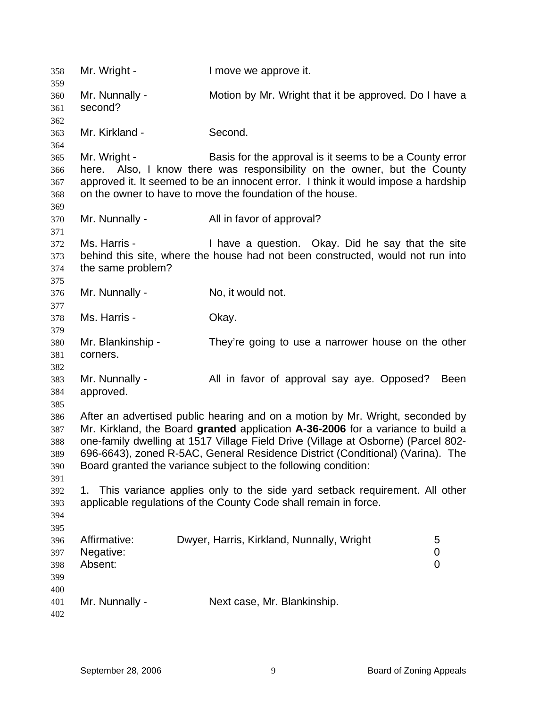| 358        | Mr. Wright -              | I move we approve it.                                                              |      |
|------------|---------------------------|------------------------------------------------------------------------------------|------|
| 359        |                           | Motion by Mr. Wright that it be approved. Do I have a                              |      |
| 360        | Mr. Nunnally -<br>second? |                                                                                    |      |
| 361        |                           |                                                                                    |      |
| 362<br>363 | Mr. Kirkland -            | Second.                                                                            |      |
| 364        |                           |                                                                                    |      |
| 365        | Mr. Wright -              | Basis for the approval is it seems to be a County error                            |      |
| 366        |                           | here. Also, I know there was responsibility on the owner, but the County           |      |
| 367        |                           | approved it. It seemed to be an innocent error. I think it would impose a hardship |      |
| 368        |                           | on the owner to have to move the foundation of the house.                          |      |
| 369        |                           |                                                                                    |      |
| 370        | Mr. Nunnally -            | All in favor of approval?                                                          |      |
| 371        |                           |                                                                                    |      |
| 372        | Ms. Harris -              | I have a question. Okay. Did he say that the site                                  |      |
| 373        |                           | behind this site, where the house had not been constructed, would not run into     |      |
| 374        | the same problem?         |                                                                                    |      |
| 375        |                           |                                                                                    |      |
| 376        | Mr. Nunnally -            | No, it would not.                                                                  |      |
| 377        |                           |                                                                                    |      |
| 378        | Ms. Harris -              | Okay.                                                                              |      |
| 379        |                           |                                                                                    |      |
| 380        | Mr. Blankinship -         | They're going to use a narrower house on the other                                 |      |
| 381        | corners.                  |                                                                                    |      |
| 382        |                           |                                                                                    |      |
| 383        | Mr. Nunnally -            | All in favor of approval say aye. Opposed?                                         | Been |
| 384        | approved.                 |                                                                                    |      |
| 385        |                           |                                                                                    |      |
| 386        |                           | After an advertised public hearing and on a motion by Mr. Wright, seconded by      |      |
| 387        |                           | Mr. Kirkland, the Board granted application A-36-2006 for a variance to build a    |      |
| 388        |                           | one-family dwelling at 1517 Village Field Drive (Village at Osborne) (Parcel 802-  |      |
| 389        |                           | 696-6643), zoned R-5AC, General Residence District (Conditional) (Varina). The     |      |
| 390        |                           | Board granted the variance subject to the following condition:                     |      |
| 391        |                           |                                                                                    |      |
| 392        | 1.                        | This variance applies only to the side yard setback requirement. All other         |      |
| 393        |                           | applicable regulations of the County Code shall remain in force.                   |      |
| 394        |                           |                                                                                    |      |
| 395        |                           |                                                                                    |      |
| 396        | Affirmative:              | Dwyer, Harris, Kirkland, Nunnally, Wright<br>5                                     |      |
| 397        | Negative:                 | 0                                                                                  |      |
| 398        | Absent:                   | $\overline{0}$                                                                     |      |
| 399        |                           |                                                                                    |      |
| 400        |                           |                                                                                    |      |
| 401        | Mr. Nunnally -            | Next case, Mr. Blankinship.                                                        |      |
| 402        |                           |                                                                                    |      |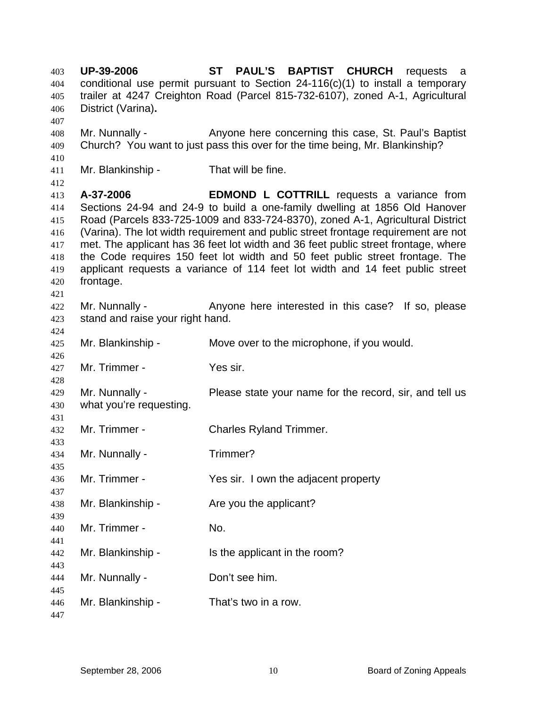**UP-39-2006 ST PAUL'S BAPTIST CHURCH** requests a conditional use permit pursuant to Section 24-116(c)(1) to install a temporary trailer at 4247 Creighton Road (Parcel 815-732-6107), zoned A-1, Agricultural District (Varina)**.** 403 404 405 406 407 408 409 410 411 412 413 414 415 416 417 418 419 420 421 422 423 424 425 426 427 428 429 430 431 432 433 434 435 436 437 438 439 440 441 442 443 444 445 446 447 Mr. Nunnally - Anyone here concerning this case, St. Paul's Baptist Church? You want to just pass this over for the time being, Mr. Blankinship? Mr. Blankinship - That will be fine. **A-37-2006 EDMOND L COTTRILL** requests a variance from Sections 24-94 and 24-9 to build a one-family dwelling at 1856 Old Hanover Road (Parcels 833-725-1009 and 833-724-8370), zoned A-1, Agricultural District (Varina). The lot width requirement and public street frontage requirement are not met. The applicant has 36 feet lot width and 36 feet public street frontage, where the Code requires 150 feet lot width and 50 feet public street frontage. The applicant requests a variance of 114 feet lot width and 14 feet public street frontage. Mr. Nunnally - Anyone here interested in this case? If so, please stand and raise your right hand. Mr. Blankinship - Move over to the microphone, if you would. Mr. Trimmer - Yes sir. Mr. Nunnally - **Please state your name for the record, sir, and tell us** what you're requesting. Mr. Trimmer - Charles Ryland Trimmer. Mr. Nunnally - Trimmer? Mr. Trimmer - Yes sir. I own the adjacent property Mr. Blankinship - The you the applicant? Mr. Trimmer - No. Mr. Blankinship - Is the applicant in the room? Mr. Nunnally - Don't see him. Mr. Blankinship - That's two in a row.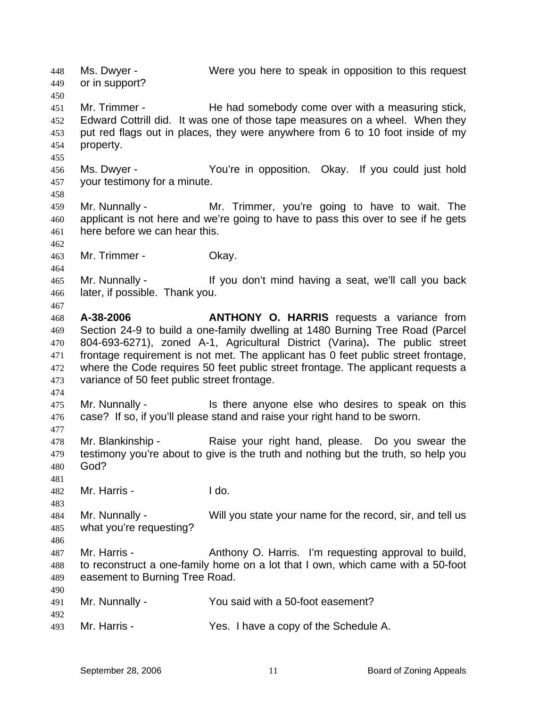Ms. Dwyer - Were you here to speak in opposition to this request or in support? 448 449 450 451 452 453 454 455 456 457 458 459 460 461 462 463 464 465 466 467 468 469 470 471 472 473 474 475 476 477 478 479 480 481 482 483 484 485 486 487 488 489 490 491 492 493 Mr. Trimmer - He had somebody come over with a measuring stick, Edward Cottrill did. It was one of those tape measures on a wheel. When they put red flags out in places, they were anywhere from 6 to 10 foot inside of my property. Ms. Dwyer - The You're in opposition. Okay. If you could just hold your testimony for a minute. Mr. Nunnally - Mr. Trimmer, you're going to have to wait. The applicant is not here and we're going to have to pass this over to see if he gets here before we can hear this. Mr. Trimmer - Okay. Mr. Nunnally - The Mustain of the Maring a seat, we'll call you back later, if possible. Thank you. **A-38-2006 ANTHONY O. HARRIS** requests a variance from Section 24-9 to build a one-family dwelling at 1480 Burning Tree Road (Parcel 804-693-6271), zoned A-1, Agricultural District (Varina)**.** The public street frontage requirement is not met. The applicant has 0 feet public street frontage, where the Code requires 50 feet public street frontage. The applicant requests a variance of 50 feet public street frontage. Mr. Nunnally - Is there anyone else who desires to speak on this case? If so, if you'll please stand and raise your right hand to be sworn. Mr. Blankinship - Raise your right hand, please. Do you swear the testimony you're about to give is the truth and nothing but the truth, so help you God? Mr. Harris - I do. Mr. Nunnally - Will you state your name for the record, sir, and tell us what you're requesting? Mr. Harris - The Anthony O. Harris. I'm requesting approval to build, to reconstruct a one-family home on a lot that I own, which came with a 50-foot easement to Burning Tree Road. Mr. Nunnally - The You said with a 50-foot easement? Mr. Harris - Yes. I have a copy of the Schedule A.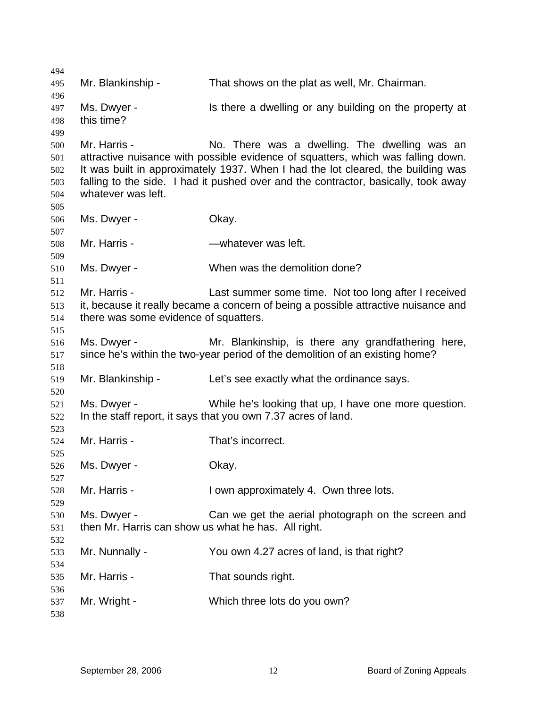Mr. Blankinship - That shows on the plat as well, Mr. Chairman. Ms. Dwyer - Is there a dwelling or any building on the property at this time? Mr. Harris - There was a dwelling. The dwelling was an attractive nuisance with possible evidence of squatters, which was falling down. It was built in approximately 1937. When I had the lot cleared, the building was falling to the side. I had it pushed over and the contractor, basically, took away whatever was left. Ms. Dwyer - Chay. Mr. Harris - **Easily - Harris - Mr. Harris - Mr. Andrew** Ms. Dwyer - When was the demolition done? Mr. Harris - The Last summer some time. Not too long after I received it, because it really became a concern of being a possible attractive nuisance and there was some evidence of squatters. Ms. Dwyer - Mr. Blankinship, is there any grandfathering here, since he's within the two-year period of the demolition of an existing home? Mr. Blankinship - Let's see exactly what the ordinance says. Ms. Dwyer - While he's looking that up, I have one more question. In the staff report, it says that you own 7.37 acres of land. Mr. Harris - That's incorrect. Ms. Dwyer - Chay. Mr. Harris - I own approximately 4. Own three lots. Ms. Dwyer - Can we get the aerial photograph on the screen and then Mr. Harris can show us what he has. All right. Mr. Nunnally - You own 4.27 acres of land, is that right? Mr. Harris - That sounds right. Mr. Wright - Which three lots do you own?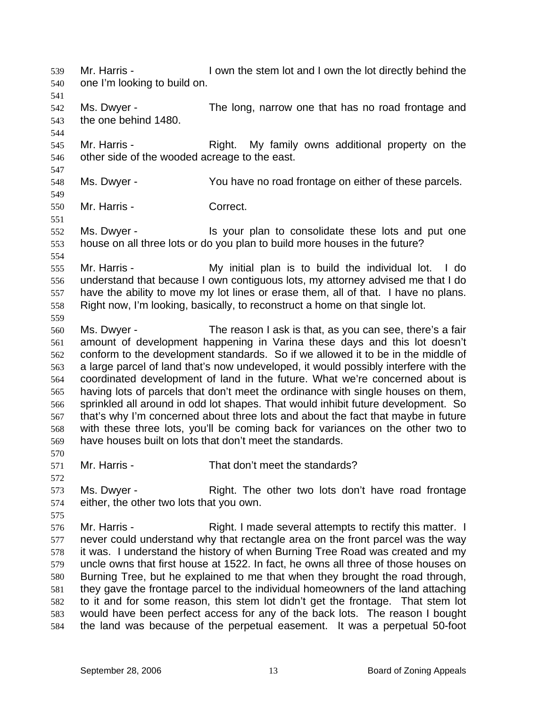Mr. Harris - I own the stem lot and I own the lot directly behind the one I'm looking to build on. 539 540 541 542 543 544 545 546 547 548 549 550 551 552 553 554 555 556 557 558 559 560 561 562 563 564 565 566 567 568 569 570 571 572 573 574 575 576 577 578 579 580 581 582 583 584 Ms. Dwyer - The long, narrow one that has no road frontage and the one behind 1480. Mr. Harris - The Right. My family owns additional property on the other side of the wooded acreage to the east. Ms. Dwyer - You have no road frontage on either of these parcels. Mr. Harris - Correct. Ms. Dwyer - The State of the Vour plan to consolidate these lots and put one house on all three lots or do you plan to build more houses in the future? Mr. Harris - My initial plan is to build the individual lot. I do understand that because I own contiguous lots, my attorney advised me that I do have the ability to move my lot lines or erase them, all of that. I have no plans. Right now, I'm looking, basically, to reconstruct a home on that single lot. Ms. Dwyer - The reason I ask is that, as you can see, there's a fair amount of development happening in Varina these days and this lot doesn't conform to the development standards. So if we allowed it to be in the middle of a large parcel of land that's now undeveloped, it would possibly interfere with the coordinated development of land in the future. What we're concerned about is having lots of parcels that don't meet the ordinance with single houses on them, sprinkled all around in odd lot shapes. That would inhibit future development. So that's why I'm concerned about three lots and about the fact that maybe in future with these three lots, you'll be coming back for variances on the other two to have houses built on lots that don't meet the standards. Mr. Harris - That don't meet the standards? Ms. Dwyer - Right. The other two lots don't have road frontage either, the other two lots that you own. Mr. Harris - Right. I made several attempts to rectify this matter. I never could understand why that rectangle area on the front parcel was the way it was. I understand the history of when Burning Tree Road was created and my uncle owns that first house at 1522. In fact, he owns all three of those houses on Burning Tree, but he explained to me that when they brought the road through, they gave the frontage parcel to the individual homeowners of the land attaching to it and for some reason, this stem lot didn't get the frontage. That stem lot would have been perfect access for any of the back lots. The reason I bought the land was because of the perpetual easement. It was a perpetual 50-foot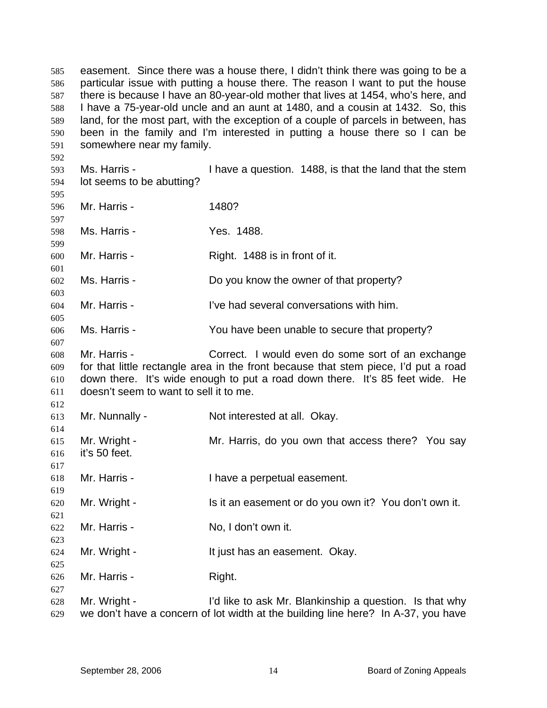easement. Since there was a house there, I didn't think there was going to be a particular issue with putting a house there. The reason I want to put the house there is because I have an 80-year-old mother that lives at 1454, who's here, and I have a 75-year-old uncle and an aunt at 1480, and a cousin at 1432. So, this land, for the most part, with the exception of a couple of parcels in between, has been in the family and I'm interested in putting a house there so I can be somewhere near my family. 585 586 587 588 589 590 591 592 593 594 595 596 597 598 599 600 601 602 603 604 605 606 607 608 609 610 611 612 613 614 615 616 617 618 619 620 621 622 623 624 625 626 627 628 629 Ms. Harris - Thave a question. 1488, is that the land that the stem lot seems to be abutting? Mr. Harris - 1480? Ms. Harris - The Yes. 1488. Mr. Harris - Right. 1488 is in front of it. Ms. Harris - The Motow the owner of that property? Mr. Harris - I've had several conversations with him. Ms. Harris - The You have been unable to secure that property? Mr. Harris - Correct. I would even do some sort of an exchange for that little rectangle area in the front because that stem piece, I'd put a road down there. It's wide enough to put a road down there. It's 85 feet wide. He doesn't seem to want to sell it to me. Mr. Nunnally - Not interested at all. Okay. Mr. Wright - Mr. Harris, do you own that access there? You say it's 50 feet. Mr. Harris - Thave a perpetual easement. Mr. Wright - Is it an easement or do you own it? You don't own it. Mr. Harris - No, I don't own it. Mr. Wright - The Must has an easement. Okay. Mr. Harris - Right. Mr. Wright - I'd like to ask Mr. Blankinship a question. Is that why we don't have a concern of lot width at the building line here? In A-37, you have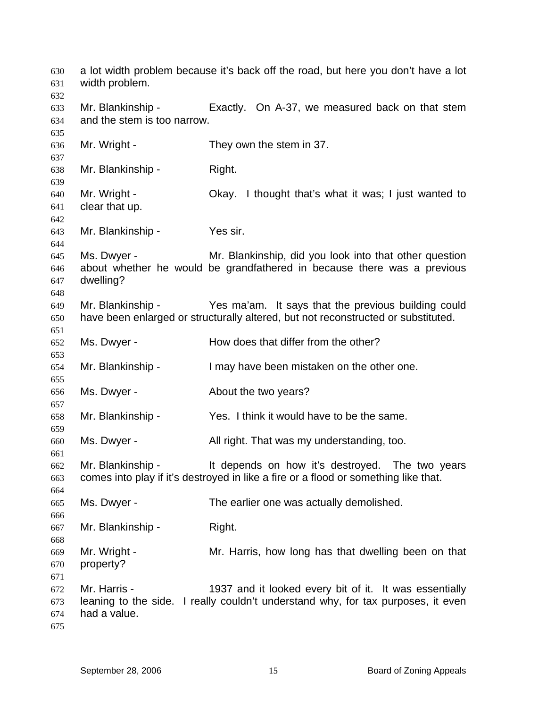a lot width problem because it's back off the road, but here you don't have a lot width problem. Mr. Blankinship - Exactly. On A-37, we measured back on that stem and the stem is too narrow. Mr. Wright - They own the stem in 37. Mr. Blankinship - Right. Mr. Wright - Chay. I thought that's what it was; I just wanted to clear that up. Mr. Blankinship - Yes sir. Ms. Dwyer - Mr. Blankinship, did you look into that other question about whether he would be grandfathered in because there was a previous dwelling? Mr. Blankinship - Yes ma'am. It says that the previous building could have been enlarged or structurally altered, but not reconstructed or substituted. Ms. Dwyer - How does that differ from the other? Mr. Blankinship - I may have been mistaken on the other one. Ms. Dwyer - **About the two years?** Mr. Blankinship - Yes. I think it would have to be the same. Ms. Dwyer - That right. That was my understanding, too. Mr. Blankinship - The depends on how it's destroyed. The two years comes into play if it's destroyed in like a fire or a flood or something like that. Ms. Dwyer - The earlier one was actually demolished. Mr. Blankinship - Right. Mr. Wright - Mr. Harris, how long has that dwelling been on that property? Mr. Harris - 1937 and it looked every bit of it. It was essentially leaning to the side. I really couldn't understand why, for tax purposes, it even had a value.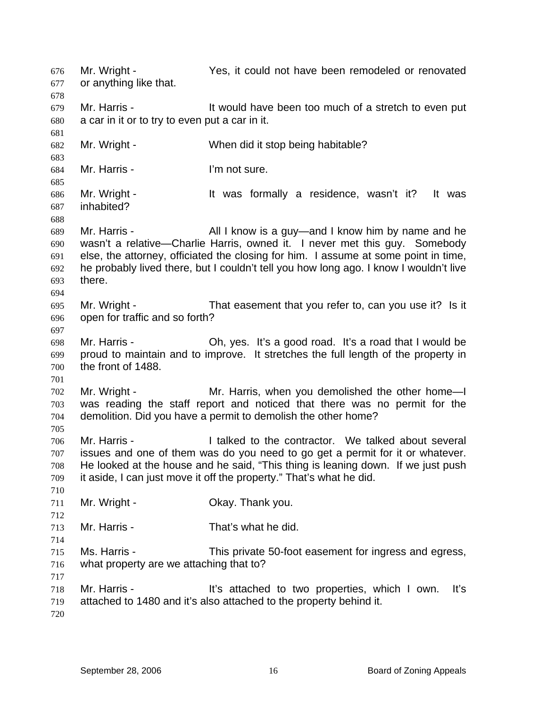Mr. Wright - Yes, it could not have been remodeled or renovated or anything like that. 676 677 678 679 680 681 682 683 684 685 686 687 688 689 690 691 692 693 694 695 696 697 698 699 700 701 702 703 704 705 706 707 708 709 710 711 712 713 714 715 716 717 718 719 720 Mr. Harris - It would have been too much of a stretch to even put a car in it or to try to even put a car in it. Mr. Wright - When did it stop being habitable? Mr. Harris - The Text I'm not sure. Mr. Wright - The Must formally a residence, wasn't it? It was inhabited? Mr. Harris - All I know is a guy—and I know him by name and he wasn't a relative—Charlie Harris, owned it. I never met this guy. Somebody else, the attorney, officiated the closing for him. I assume at some point in time, he probably lived there, but I couldn't tell you how long ago. I know I wouldn't live there. Mr. Wright - That easement that you refer to, can you use it? Is it open for traffic and so forth? Mr. Harris - Oh, yes. It's a good road. It's a road that I would be proud to maintain and to improve. It stretches the full length of the property in the front of 1488. Mr. Wright - The Mr. Harris, when you demolished the other homewas reading the staff report and noticed that there was no permit for the demolition. Did you have a permit to demolish the other home? Mr. Harris - The Intellect to the contractor. We talked about several issues and one of them was do you need to go get a permit for it or whatever. He looked at the house and he said, "This thing is leaning down. If we just push it aside, I can just move it off the property." That's what he did. Mr. Wright - Chay. Thank you. Mr. Harris - That's what he did. Ms. Harris - This private 50-foot easement for ingress and egress, what property are we attaching that to? Mr. Harris - The Theorian It's attached to two properties, which I own. It's attached to 1480 and it's also attached to the property behind it.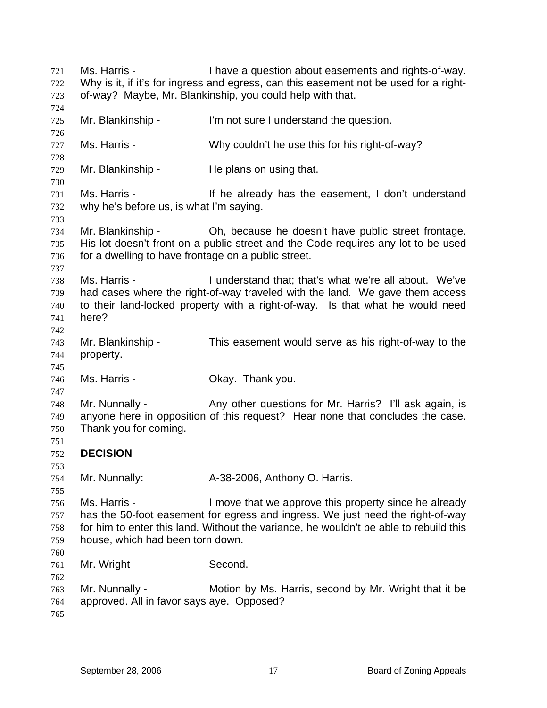Ms. Harris - Thave a question about easements and rights-of-way. Why is it, if it's for ingress and egress, can this easement not be used for a rightof-way? Maybe, Mr. Blankinship, you could help with that. 721 722 723 724 725 726 727 728 729 730 731 732 733 734 735 736 737 738 739 740 741 742 743 744 745 746 747 748 749 750 751 752 753 754 755 756 757 758 759 760 761 762 763 764 765 Mr. Blankinship - I'm not sure I understand the question. Ms. Harris - Why couldn't he use this for his right-of-way? Mr. Blankinship - He plans on using that. Ms. Harris - The already has the easement, I don't understand why he's before us, is what I'm saying. Mr. Blankinship - Oh, because he doesn't have public street frontage. His lot doesn't front on a public street and the Code requires any lot to be used for a dwelling to have frontage on a public street. Ms. Harris - The Munderstand that; that's what we're all about. We've had cases where the right-of-way traveled with the land. We gave them access to their land-locked property with a right-of-way. Is that what he would need here? Mr. Blankinship - This easement would serve as his right-of-way to the property. Ms. Harris - Ckay. Thank you. Mr. Nunnally - Any other questions for Mr. Harris? I'll ask again, is anyone here in opposition of this request? Hear none that concludes the case. Thank you for coming. **DECISION**  Mr. Nunnally: **A-38-2006, Anthony O. Harris.** Ms. Harris - I move that we approve this property since he already has the 50-foot easement for egress and ingress. We just need the right-of-way for him to enter this land. Without the variance, he wouldn't be able to rebuild this house, which had been torn down. Mr. Wright - Second. Mr. Nunnally - Motion by Ms. Harris, second by Mr. Wright that it be approved. All in favor says aye. Opposed?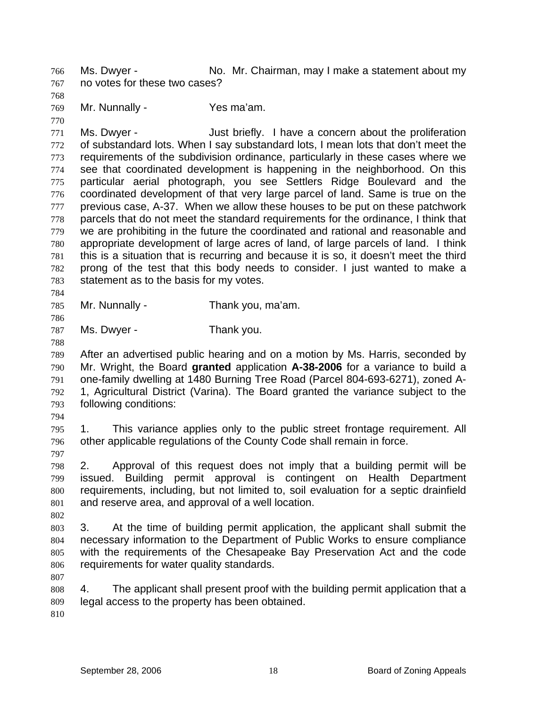Ms. Dwyer - No. Mr. Chairman, may I make a statement about my no votes for these two cases? 766 767

768

769 770 Mr. Nunnally - Yes ma'am.

771 772 773 774 775 776 777 778 779 780 781 782 783 Ms. Dwyer - Just briefly. I have a concern about the proliferation of substandard lots. When I say substandard lots, I mean lots that don't meet the requirements of the subdivision ordinance, particularly in these cases where we see that coordinated development is happening in the neighborhood. On this particular aerial photograph, you see Settlers Ridge Boulevard and the coordinated development of that very large parcel of land. Same is true on the previous case, A-37. When we allow these houses to be put on these patchwork parcels that do not meet the standard requirements for the ordinance, I think that we are prohibiting in the future the coordinated and rational and reasonable and appropriate development of large acres of land, of large parcels of land. I think this is a situation that is recurring and because it is so, it doesn't meet the third prong of the test that this body needs to consider. I just wanted to make a statement as to the basis for my votes.

785 Mr. Nunnally - Thank you, ma'am.

786

784

787 Ms. Dwyer - Thank you.

788

789 790 791 792 793 After an advertised public hearing and on a motion by Ms. Harris, seconded by Mr. Wright, the Board **granted** application **A-38-2006** for a variance to build a one-family dwelling at 1480 Burning Tree Road (Parcel 804-693-6271), zoned A-1, Agricultural District (Varina). The Board granted the variance subject to the following conditions:

794

797

795 796 1. This variance applies only to the public street frontage requirement. All other applicable regulations of the County Code shall remain in force.

798 799 800 801 2. Approval of this request does not imply that a building permit will be issued. Building permit approval is contingent on Health Department requirements, including, but not limited to, soil evaluation for a septic drainfield and reserve area, and approval of a well location.

802

803 804 805 806 3. At the time of building permit application, the applicant shall submit the necessary information to the Department of Public Works to ensure compliance with the requirements of the Chesapeake Bay Preservation Act and the code requirements for water quality standards.

807

808 809 4. The applicant shall present proof with the building permit application that a legal access to the property has been obtained.

810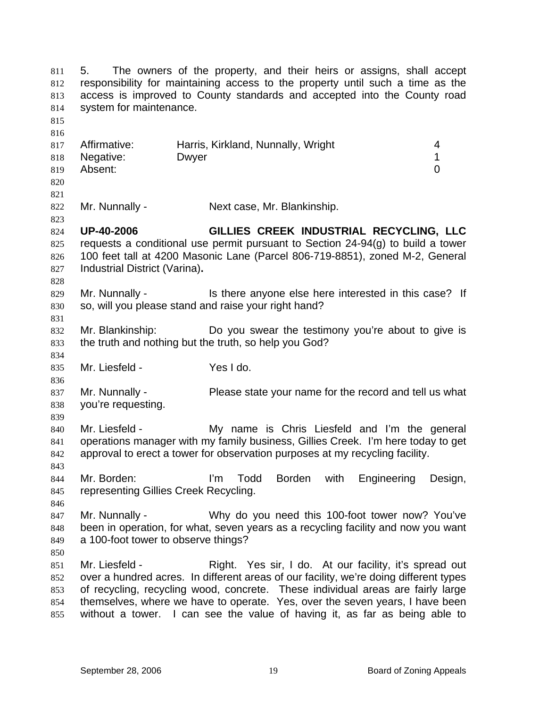5. The owners of the property, and their heirs or assigns, shall accept responsibility for maintaining access to the property until such a time as the access is improved to County standards and accepted into the County road system for maintenance. 811 812 813 814 815 816 817 818 819 820 821 822 823 824 825 826 827 828 829 830 831 832 833 834 835 836 837 838 839 840 841 842 843 844 845 846 847 848 849 850 851 852 853 854 855 Affirmative: Harris, Kirkland, Nunnally, Wright 4 Negative: Dwyer 2008 Dwyer 2009 1 Absent: 0 Mr. Nunnally - Next case, Mr. Blankinship. **UP-40-2006 GILLIES CREEK INDUSTRIAL RECYCLING, LLC** requests a conditional use permit pursuant to Section 24-94(g) to build a tower 100 feet tall at 4200 Masonic Lane (Parcel 806-719-8851), zoned M-2, General Industrial District (Varina)**.** Mr. Nunnally - Is there anyone else here interested in this case? If so, will you please stand and raise your right hand? Mr. Blankinship: Do you swear the testimony you're about to give is the truth and nothing but the truth, so help you God? Mr. Liesfeld - Yes I do. Mr. Nunnally - Please state your name for the record and tell us what you're requesting. Mr. Liesfeld - My name is Chris Liesfeld and I'm the general operations manager with my family business, Gillies Creek. I'm here today to get approval to erect a tower for observation purposes at my recycling facility. Mr. Borden: I'm Todd Borden with Engineering Design, representing Gillies Creek Recycling. Mr. Nunnally - Why do you need this 100-foot tower now? You've been in operation, for what, seven years as a recycling facility and now you want a 100-foot tower to observe things? Mr. Liesfeld - Right. Yes sir, I do. At our facility, it's spread out over a hundred acres. In different areas of our facility, we're doing different types of recycling, recycling wood, concrete. These individual areas are fairly large themselves, where we have to operate. Yes, over the seven years, I have been without a tower. I can see the value of having it, as far as being able to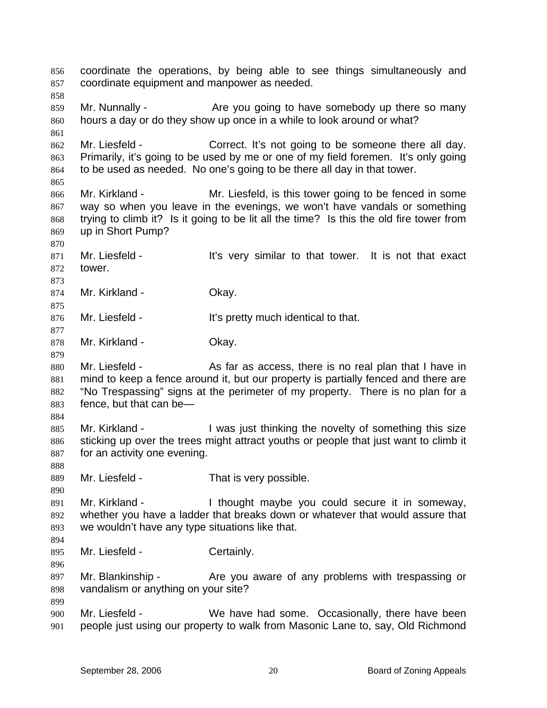coordinate the operations, by being able to see things simultaneously and coordinate equipment and manpower as needed. 856 857 858 859 860 861 862 863 864 865 866 867 868 869 870 871 872 873 874 875 876 877 878 879 880 881 882 883 884 885 886 887 888 889 890 891 892 893 894 895 896 897 898 899 900 901 Mr. Nunnally - Are you going to have somebody up there so many hours a day or do they show up once in a while to look around or what? Mr. Liesfeld - Correct. It's not going to be someone there all day. Primarily, it's going to be used by me or one of my field foremen. It's only going to be used as needed. No one's going to be there all day in that tower. Mr. Kirkland - Mr. Liesfeld, is this tower going to be fenced in some way so when you leave in the evenings, we won't have vandals or something trying to climb it? Is it going to be lit all the time? Is this the old fire tower from up in Short Pump? Mr. Liesfeld - It's very similar to that tower. It is not that exact tower. Mr. Kirkland - **Okay.** Mr. Liesfeld - It's pretty much identical to that. Mr. Kirkland - **Okay.** Mr. Liesfeld - As far as access, there is no real plan that I have in mind to keep a fence around it, but our property is partially fenced and there are "No Trespassing" signs at the perimeter of my property. There is no plan for a fence, but that can be— Mr. Kirkland - The U was just thinking the novelty of something this size sticking up over the trees might attract youths or people that just want to climb it for an activity one evening. Mr. Liesfeld - That is very possible. Mr. Kirkland - I thought maybe you could secure it in someway, whether you have a ladder that breaks down or whatever that would assure that we wouldn't have any type situations like that. Mr. Liesfeld - Certainly. Mr. Blankinship - The you aware of any problems with trespassing or vandalism or anything on your site? Mr. Liesfeld - We have had some. Occasionally, there have been people just using our property to walk from Masonic Lane to, say, Old Richmond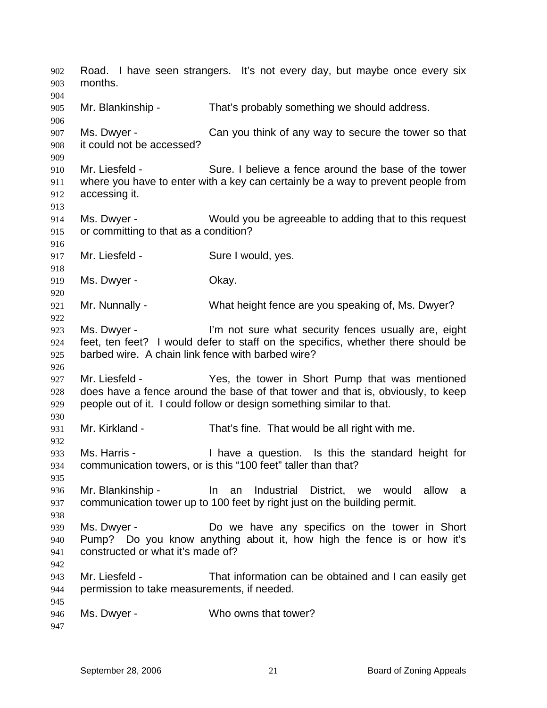Road. I have seen strangers. It's not every day, but maybe once every six months. 902 903 904 905 906 907 908 909 910 911 912 913 914 915 916 917 918 919 920 921 922 923 924 925 926 927 928 929 930 931 932 933 934 935 936 937 938 939 940 941 942 943 944 945 946 947 Mr. Blankinship - That's probably something we should address. Ms. Dwyer - Can you think of any way to secure the tower so that it could not be accessed? Mr. Liesfeld - Sure. I believe a fence around the base of the tower where you have to enter with a key can certainly be a way to prevent people from accessing it. Ms. Dwyer - Would you be agreeable to adding that to this request or committing to that as a condition? Mr. Liesfeld - Sure I would, yes. Ms. Dwyer - Chay. Mr. Nunnally - What height fence are you speaking of, Ms. Dwyer? Ms. Dwyer - The I'm not sure what security fences usually are, eight feet, ten feet? I would defer to staff on the specifics, whether there should be barbed wire. A chain link fence with barbed wire? Mr. Liesfeld - Yes, the tower in Short Pump that was mentioned does have a fence around the base of that tower and that is, obviously, to keep people out of it. I could follow or design something similar to that. Mr. Kirkland - That's fine. That would be all right with me. Ms. Harris - Thave a question. Is this the standard height for communication towers, or is this "100 feet" taller than that? Mr. Blankinship - In an Industrial District, we would allow a communication tower up to 100 feet by right just on the building permit. Ms. Dwyer - The Do we have any specifics on the tower in Short Pump? Do you know anything about it, how high the fence is or how it's constructed or what it's made of? Mr. Liesfeld - That information can be obtained and I can easily get permission to take measurements, if needed. Ms. Dwyer - Who owns that tower?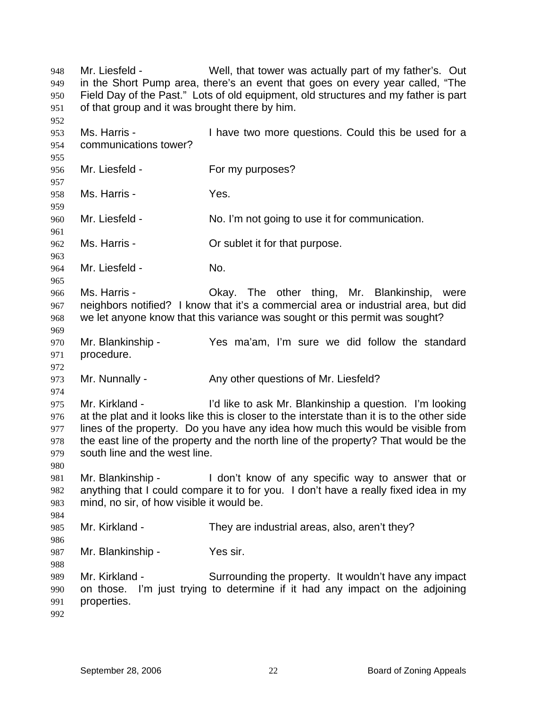| 948<br>949 | Mr. Liesfeld -                                                                      | Well, that tower was actually part of my father's. Out<br>in the Short Pump area, there's an event that goes on every year called, "The |  |
|------------|-------------------------------------------------------------------------------------|-----------------------------------------------------------------------------------------------------------------------------------------|--|
| 950        | Field Day of the Past." Lots of old equipment, old structures and my father is part |                                                                                                                                         |  |
| 951        | of that group and it was brought there by him.                                      |                                                                                                                                         |  |
| 952        |                                                                                     |                                                                                                                                         |  |
| 953        | Ms. Harris -                                                                        | I have two more questions. Could this be used for a                                                                                     |  |
| 954        | communications tower?                                                               |                                                                                                                                         |  |
| 955        |                                                                                     |                                                                                                                                         |  |
| 956        | Mr. Liesfeld -                                                                      | For my purposes?                                                                                                                        |  |
| 957        |                                                                                     |                                                                                                                                         |  |
| 958        | Ms. Harris -                                                                        | Yes.                                                                                                                                    |  |
| 959        |                                                                                     |                                                                                                                                         |  |
| 960        | Mr. Liesfeld -                                                                      | No. I'm not going to use it for communication.                                                                                          |  |
| 961        |                                                                                     |                                                                                                                                         |  |
| 962        | Ms. Harris -                                                                        | Or sublet it for that purpose.                                                                                                          |  |
| 963        |                                                                                     |                                                                                                                                         |  |
| 964        | Mr. Liesfeld -                                                                      | No.                                                                                                                                     |  |
| 965        |                                                                                     |                                                                                                                                         |  |
| 966        | Ms. Harris -                                                                        | Okay. The other thing, Mr. Blankinship,<br>were<br>neighbors notified? I know that it's a commercial area or industrial area, but did   |  |
| 967        |                                                                                     | we let anyone know that this variance was sought or this permit was sought?                                                             |  |
| 968<br>969 |                                                                                     |                                                                                                                                         |  |
| 970        | Mr. Blankinship -                                                                   | Yes ma'am, I'm sure we did follow the standard                                                                                          |  |
| 971        | procedure.                                                                          |                                                                                                                                         |  |
| 972        |                                                                                     |                                                                                                                                         |  |
| 973        | Mr. Nunnally -                                                                      | Any other questions of Mr. Liesfeld?                                                                                                    |  |
| 974        |                                                                                     |                                                                                                                                         |  |
| 975        | Mr. Kirkland -                                                                      | I'd like to ask Mr. Blankinship a question. I'm looking                                                                                 |  |
| 976        |                                                                                     | at the plat and it looks like this is closer to the interstate than it is to the other side                                             |  |
| 977        |                                                                                     | lines of the property. Do you have any idea how much this would be visible from                                                         |  |
| 978        |                                                                                     | the east line of the property and the north line of the property? That would be the                                                     |  |
| 979        | south line and the west line.                                                       |                                                                                                                                         |  |
| 980        |                                                                                     |                                                                                                                                         |  |
| 981        | Mr. Blankinship -                                                                   | I don't know of any specific way to answer that or                                                                                      |  |
| 982        |                                                                                     | anything that I could compare it to for you. I don't have a really fixed idea in my                                                     |  |
| 983        | mind, no sir, of how visible it would be.                                           |                                                                                                                                         |  |
| 984        |                                                                                     |                                                                                                                                         |  |
| 985        | Mr. Kirkland -                                                                      | They are industrial areas, also, aren't they?                                                                                           |  |
| 986        |                                                                                     |                                                                                                                                         |  |
| 987        | Mr. Blankinship -                                                                   | Yes sir.                                                                                                                                |  |
| 988        |                                                                                     |                                                                                                                                         |  |
| 989        | Mr. Kirkland -                                                                      | Surrounding the property. It wouldn't have any impact                                                                                   |  |
| 990        | on those.                                                                           | I'm just trying to determine if it had any impact on the adjoining                                                                      |  |
| 991        | properties.                                                                         |                                                                                                                                         |  |
| 992        |                                                                                     |                                                                                                                                         |  |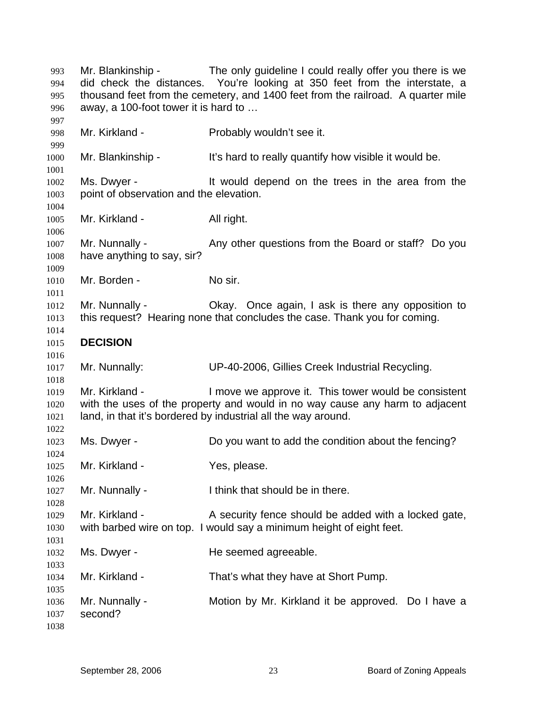Mr. Blankinship - The only guideline I could really offer you there is we did check the distances. You're looking at 350 feet from the interstate, a thousand feet from the cemetery, and 1400 feet from the railroad. A quarter mile away, a 100-foot tower it is hard to … Mr. Kirkland - Probably wouldn't see it. Mr. Blankinship - It's hard to really quantify how visible it would be. Ms. Dwyer - It would depend on the trees in the area from the point of observation and the elevation. Mr. Kirkland - All right. Mr. Nunnally - Any other questions from the Board or staff? Do you have anything to say, sir? Mr. Borden - No sir. Mr. Nunnally - Ckay. Once again, I ask is there any opposition to this request? Hearing none that concludes the case. Thank you for coming. **DECISION**  Mr. Nunnally: UP-40-2006, Gillies Creek Industrial Recycling. Mr. Kirkland - The Music over approve it. This tower would be consistent with the uses of the property and would in no way cause any harm to adjacent land, in that it's bordered by industrial all the way around. Ms. Dwyer - Do you want to add the condition about the fencing? Mr. Kirkland - Yes, please. Mr. Nunnally - I think that should be in there. Mr. Kirkland - A security fence should be added with a locked gate, with barbed wire on top. I would say a minimum height of eight feet. Ms. Dwyer - The seemed agreeable. Mr. Kirkland - That's what they have at Short Pump. Mr. Nunnally - Motion by Mr. Kirkland it be approved. Do I have a second?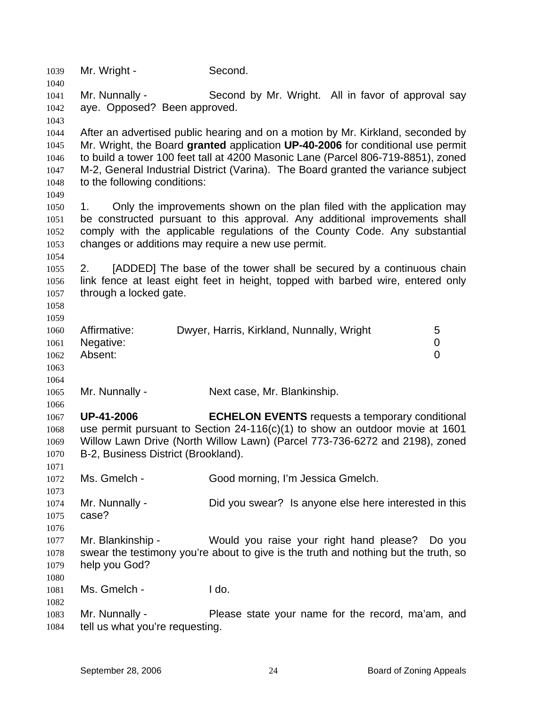| 1039<br>1040 | Mr. Wright -                                       | Second.                                                                             |  |
|--------------|----------------------------------------------------|-------------------------------------------------------------------------------------|--|
| 1041         | Mr. Nunnally -                                     | Second by Mr. Wright. All in favor of approval say                                  |  |
| 1042         | aye. Opposed? Been approved.                       |                                                                                     |  |
|              |                                                    |                                                                                     |  |
| 1043<br>1044 |                                                    | After an advertised public hearing and on a motion by Mr. Kirkland, seconded by     |  |
| 1045         |                                                    | Mr. Wright, the Board granted application UP-40-2006 for conditional use permit     |  |
| 1046         |                                                    | to build a tower 100 feet tall at 4200 Masonic Lane (Parcel 806-719-8851), zoned    |  |
| 1047         |                                                    | M-2, General Industrial District (Varina). The Board granted the variance subject   |  |
| 1048         | to the following conditions:                       |                                                                                     |  |
| 1049         |                                                    |                                                                                     |  |
| 1050         | 1.                                                 | Only the improvements shown on the plan filed with the application may              |  |
| 1051         |                                                    | be constructed pursuant to this approval. Any additional improvements shall         |  |
| 1052         |                                                    | comply with the applicable regulations of the County Code. Any substantial          |  |
| 1053         | changes or additions may require a new use permit. |                                                                                     |  |
| 1054         |                                                    |                                                                                     |  |
| 1055         | 2.                                                 | [ADDED] The base of the tower shall be secured by a continuous chain                |  |
| 1056         |                                                    | link fence at least eight feet in height, topped with barbed wire, entered only     |  |
| 1057         | through a locked gate.                             |                                                                                     |  |
| 1058         |                                                    |                                                                                     |  |
| 1059         |                                                    |                                                                                     |  |
| 1060         | Affirmative:                                       | Dwyer, Harris, Kirkland, Nunnally, Wright<br>5                                      |  |
| 1061         | Negative:                                          | 0                                                                                   |  |
| 1062         | Absent:                                            | 0                                                                                   |  |
| 1063         |                                                    |                                                                                     |  |
| 1064         |                                                    |                                                                                     |  |
| 1065         | Mr. Nunnally -                                     | Next case, Mr. Blankinship.                                                         |  |
| 1066         |                                                    |                                                                                     |  |
| 1067         | <b>UP-41-2006</b>                                  | <b>ECHELON EVENTS</b> requests a temporary conditional                              |  |
| 1068         |                                                    | use permit pursuant to Section $24-116(c)(1)$ to show an outdoor movie at 1601      |  |
| 1069         |                                                    | Willow Lawn Drive (North Willow Lawn) (Parcel 773-736-6272 and 2198), zoned         |  |
| 1070         | B-2, Business District (Brookland).                |                                                                                     |  |
| 1071         |                                                    |                                                                                     |  |
| 1072         | Ms. Gmelch -                                       | Good morning, I'm Jessica Gmelch.                                                   |  |
| 1073         |                                                    |                                                                                     |  |
| 1074         | Mr. Nunnally -                                     | Did you swear? Is anyone else here interested in this                               |  |
| 1075         | case?                                              |                                                                                     |  |
| 1076         |                                                    |                                                                                     |  |
| 1077         | Mr. Blankinship -                                  | Would you raise your right hand please?<br>Do you                                   |  |
| 1078         |                                                    | swear the testimony you're about to give is the truth and nothing but the truth, so |  |
| 1079         | help you God?                                      |                                                                                     |  |
| 1080         |                                                    |                                                                                     |  |
| 1081         | Ms. Gmelch -                                       | I do.                                                                               |  |
| 1082         |                                                    |                                                                                     |  |
| 1083         | Mr. Nunnally -                                     | Please state your name for the record, ma'am, and                                   |  |
| 1084         | tell us what you're requesting.                    |                                                                                     |  |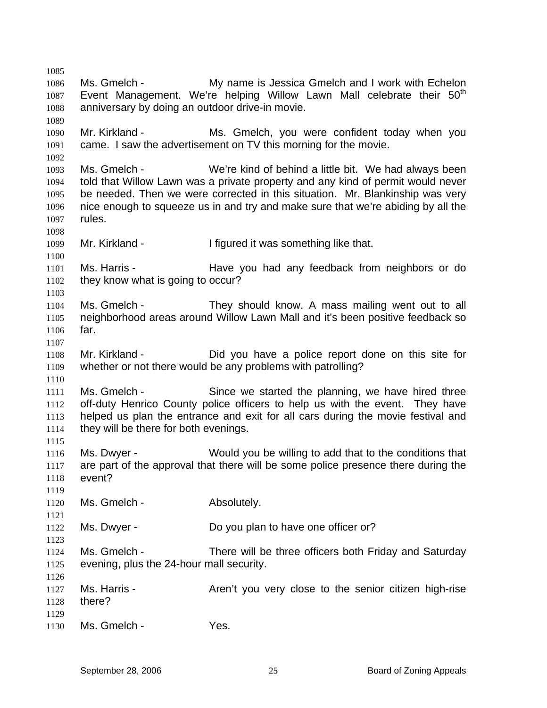1085 1086 1087 1088 1089 1090 1091 1092 1093 1094 1095 1096 1097 1098 1099 1100 1101 1102 1103 1104 1105 1106 1107 1108 1109 1110 1111 1112 1113 1114 1115 1116 1117 1118 1119 1120 1121 1122 1123 1124 1125 1126 1127 1128 1129 1130 Ms. Gmelch - My name is Jessica Gmelch and I work with Echelon Event Management. We're helping Willow Lawn Mall celebrate their 50<sup>th</sup> anniversary by doing an outdoor drive-in movie. Mr. Kirkland - The Ms. Gmelch, you were confident today when you came. I saw the advertisement on TV this morning for the movie. Ms. Gmelch - We're kind of behind a little bit. We had always been told that Willow Lawn was a private property and any kind of permit would never be needed. Then we were corrected in this situation. Mr. Blankinship was very nice enough to squeeze us in and try and make sure that we're abiding by all the rules. Mr. Kirkland - I figured it was something like that. Ms. Harris - Have you had any feedback from neighbors or do they know what is going to occur? Ms. Gmelch - They should know. A mass mailing went out to all neighborhood areas around Willow Lawn Mall and it's been positive feedback so far. Mr. Kirkland - Did you have a police report done on this site for whether or not there would be any problems with patrolling? Ms. Gmelch - Since we started the planning, we have hired three off-duty Henrico County police officers to help us with the event. They have helped us plan the entrance and exit for all cars during the movie festival and they will be there for both evenings. Ms. Dwyer - Would you be willing to add that to the conditions that are part of the approval that there will be some police presence there during the event? Ms. Gmelch - Absolutely. Ms. Dwyer - Do you plan to have one officer or? Ms. Gmelch - There will be three officers both Friday and Saturday evening, plus the 24-hour mall security. Ms. Harris - The Aren't you very close to the senior citizen high-rise there? Ms. Gmelch - Yes.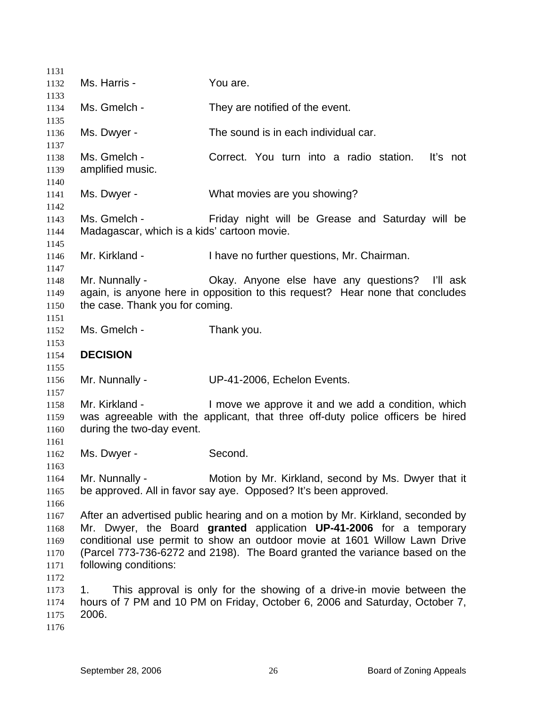| 1132         | Ms. Harris -                                | You are.                                                                        |
|--------------|---------------------------------------------|---------------------------------------------------------------------------------|
| 1133         |                                             |                                                                                 |
| 1134         | Ms. Gmelch -                                | They are notified of the event.                                                 |
| 1135         |                                             |                                                                                 |
| 1136         | Ms. Dwyer -                                 | The sound is in each individual car.                                            |
| 1137         |                                             |                                                                                 |
| 1138         | Ms. Gmelch -                                | Correct. You turn into a radio station.<br>It's not                             |
| 1139         | amplified music.                            |                                                                                 |
| 1140         |                                             |                                                                                 |
| 1141         | Ms. Dwyer -                                 | What movies are you showing?                                                    |
| 1142         |                                             |                                                                                 |
| 1143         | Ms. Gmelch -                                | Friday night will be Grease and Saturday will be                                |
| 1144         | Madagascar, which is a kids' cartoon movie. |                                                                                 |
| 1145         |                                             |                                                                                 |
| 1146         | Mr. Kirkland -                              | I have no further questions, Mr. Chairman.                                      |
| 1147         |                                             |                                                                                 |
| 1148         | Mr. Nunnally -                              | Okay. Anyone else have any questions? I'll ask                                  |
| 1149         |                                             | again, is anyone here in opposition to this request? Hear none that concludes   |
| 1150         | the case. Thank you for coming.             |                                                                                 |
| 1151<br>1152 | Ms. Gmelch -                                | Thank you.                                                                      |
| 1153         |                                             |                                                                                 |
| 1154         | <b>DECISION</b>                             |                                                                                 |
| 1155         |                                             |                                                                                 |
| 1156         |                                             |                                                                                 |
|              |                                             |                                                                                 |
|              | Mr. Nunnally -                              | UP-41-2006, Echelon Events.                                                     |
| 1157         |                                             |                                                                                 |
| 1158         | Mr. Kirkland -                              | I move we approve it and we add a condition, which                              |
| 1159         |                                             | was agreeable with the applicant, that three off-duty police officers be hired  |
| 1160         | during the two-day event.                   |                                                                                 |
| 1161<br>1162 |                                             | Second.                                                                         |
| 1163         | Ms. Dwyer -                                 |                                                                                 |
| 1164         | Mr. Nunnally -                              | Motion by Mr. Kirkland, second by Ms. Dwyer that it                             |
| 1165         |                                             | be approved. All in favor say aye. Opposed? It's been approved.                 |
| 1166         |                                             |                                                                                 |
| 1167         |                                             | After an advertised public hearing and on a motion by Mr. Kirkland, seconded by |
| 1168         |                                             | Mr. Dwyer, the Board granted application UP-41-2006 for a temporary             |
| 1169         |                                             | conditional use permit to show an outdoor movie at 1601 Willow Lawn Drive       |
| 1170         |                                             | (Parcel 773-736-6272 and 2198). The Board granted the variance based on the     |
| 1171         | following conditions:                       |                                                                                 |
| 1172         |                                             |                                                                                 |
| 1173         | 1.                                          | This approval is only for the showing of a drive-in movie between the           |
| 1174         |                                             | hours of 7 PM and 10 PM on Friday, October 6, 2006 and Saturday, October 7,     |
| 1175         | 2006.                                       |                                                                                 |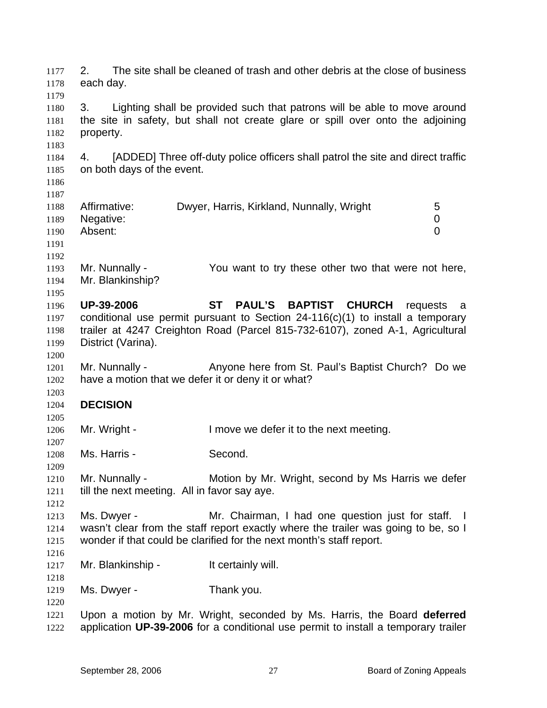2. The site shall be cleaned of trash and other debris at the close of business each day. 1177 1178 1179 1180 1181 1182 1183 1184 1185 1186 1187 1188 1189 1190 1191 1192 1193 1194 1195 1196 1197 1198 1199 1200 1201 1202 1203 1204 1205 1206 1207 1208 1209 1210 1211 1212 1213 1214 1215 1216 1217 1218 1219 1220 1221 1222 3. Lighting shall be provided such that patrons will be able to move around the site in safety, but shall not create glare or spill over onto the adjoining property. 4. [ADDED] Three off-duty police officers shall patrol the site and direct traffic on both days of the event. Affirmative: Dwyer, Harris, Kirkland, Nunnally, Wright 5 Negative: 0 Absent: 0 Mr. Nunnally - You want to try these other two that were not here, Mr. Blankinship? **UP-39-2006 ST PAUL'S BAPTIST CHURCH** requests a conditional use permit pursuant to Section 24-116(c)(1) to install a temporary trailer at 4247 Creighton Road (Parcel 815-732-6107), zoned A-1, Agricultural District (Varina). Mr. Nunnally - Anyone here from St. Paul's Baptist Church? Do we have a motion that we defer it or deny it or what? **DECISION**  Mr. Wright - I move we defer it to the next meeting. Ms. Harris - Second. Mr. Nunnally - Motion by Mr. Wright, second by Ms Harris we defer till the next meeting. All in favor say aye. Ms. Dwyer - Mr. Chairman, I had one question just for staff. I wasn't clear from the staff report exactly where the trailer was going to be, so I wonder if that could be clarified for the next month's staff report. Mr. Blankinship - It certainly will. Ms. Dwyer - Thank you. Upon a motion by Mr. Wright, seconded by Ms. Harris, the Board **deferred**  application **UP-39-2006** for a conditional use permit to install a temporary trailer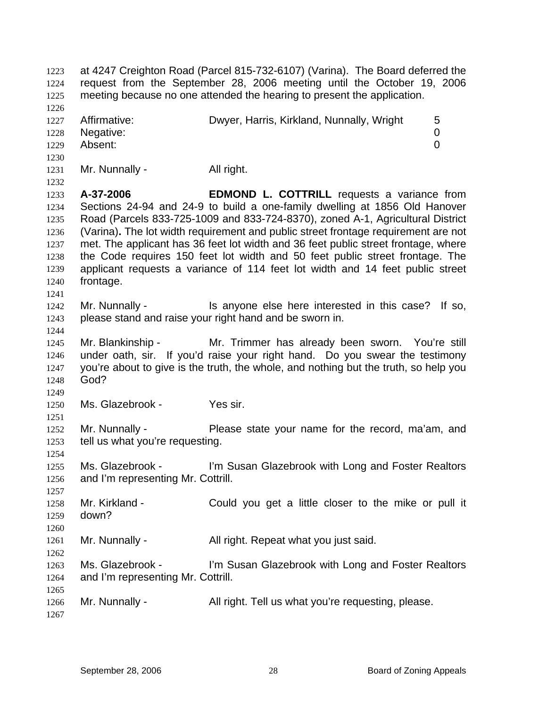at 4247 Creighton Road (Parcel 815-732-6107) (Varina). The Board deferred the request from the September 28, 2006 meeting until the October 19, 2006 meeting because no one attended the hearing to present the application. 1223 1224 1225 1226 1227 1228 1229 1230 1231 1232 1233 1234 1235 1236 1237 1238 1239 1240 1241 1242 1243 1244 1245 1246 1247 1248 1249 1250 1251 1252 1253 1254 1255 1256 1257 1258 1259 1260 1261 1262 1263 1264 1265 1266 1267 Affirmative: **Dwyer, Harris, Kirkland, Nunnally, Wright** 5 Negative: 0 Absent: 0 Mr. Nunnally - All right. **A-37-2006 EDMOND L. COTTRILL** requests a variance from Sections 24-94 and 24-9 to build a one-family dwelling at 1856 Old Hanover Road (Parcels 833-725-1009 and 833-724-8370), zoned A-1, Agricultural District (Varina)**.** The lot width requirement and public street frontage requirement are not met. The applicant has 36 feet lot width and 36 feet public street frontage, where the Code requires 150 feet lot width and 50 feet public street frontage. The applicant requests a variance of 114 feet lot width and 14 feet public street frontage. Mr. Nunnally - Is anyone else here interested in this case? If so, please stand and raise your right hand and be sworn in. Mr. Blankinship - Mr. Trimmer has already been sworn. You're still under oath, sir. If you'd raise your right hand. Do you swear the testimony you're about to give is the truth, the whole, and nothing but the truth, so help you God? Ms. Glazebrook - Yes sir. Mr. Nunnally - Please state your name for the record, ma'am, and tell us what you're requesting. Ms. Glazebrook - I'm Susan Glazebrook with Long and Foster Realtors and I'm representing Mr. Cottrill. Mr. Kirkland - Could you get a little closer to the mike or pull it down? Mr. Nunnally - All right. Repeat what you just said. Ms. Glazebrook - I'm Susan Glazebrook with Long and Foster Realtors and I'm representing Mr. Cottrill. Mr. Nunnally - All right. Tell us what you're requesting, please.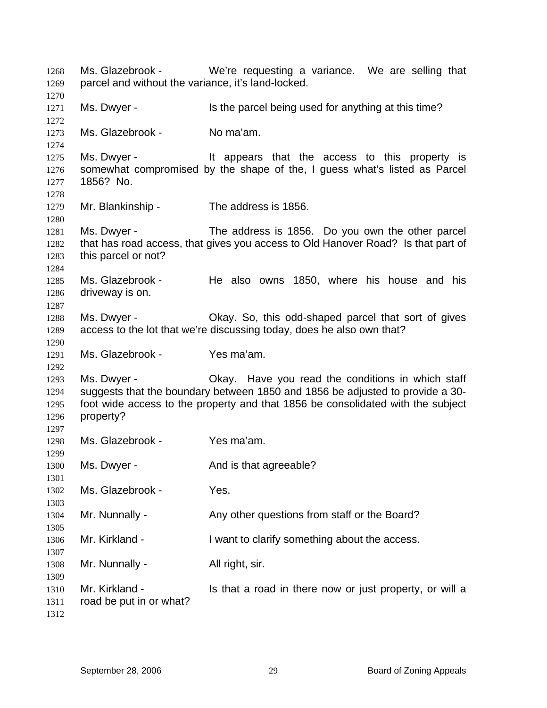Ms. Glazebrook - We're requesting a variance. We are selling that parcel and without the variance, it's land-locked. Ms. Dwyer - Is the parcel being used for anything at this time? Ms. Glazebrook - No ma'am. Ms. Dwyer - The Music of the access to this property is somewhat compromised by the shape of the, I guess what's listed as Parcel 1856? No. Mr. Blankinship - The address is 1856. Ms. Dwyer - The address is 1856. Do you own the other parcel that has road access, that gives you access to Old Hanover Road? Is that part of this parcel or not? Ms. Glazebrook - He also owns 1850, where his house and his driveway is on. Ms. Dwyer - Okay. So, this odd-shaped parcel that sort of gives access to the lot that we're discussing today, does he also own that? Ms. Glazebrook - Yes ma'am. Ms. Dwyer - Ckay. Have you read the conditions in which staff suggests that the boundary between 1850 and 1856 be adjusted to provide a 30 foot wide access to the property and that 1856 be consolidated with the subject property? Ms. Glazebrook - Yes ma'am. Ms. Dwyer - The And is that agreeable? Ms. Glazebrook - Yes. Mr. Nunnally - Any other questions from staff or the Board? Mr. Kirkland - I want to clarify something about the access. Mr. Nunnally - All right, sir. Mr. Kirkland - Is that a road in there now or just property, or will a road be put in or what?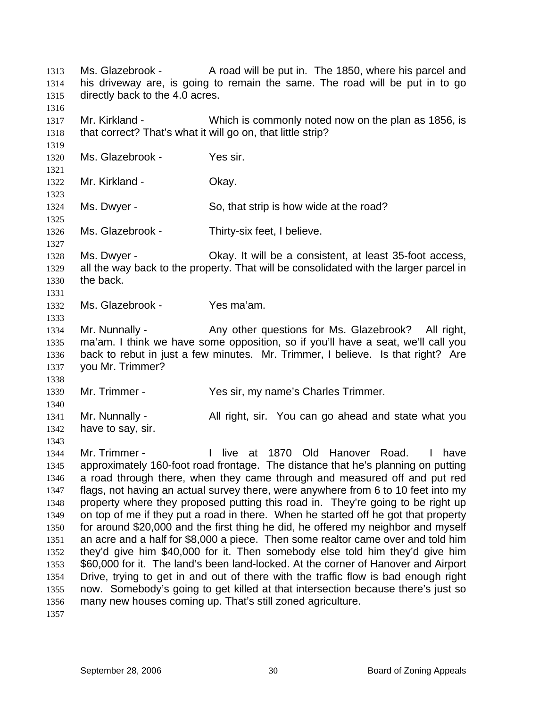Ms. Glazebrook - A road will be put in. The 1850, where his parcel and his driveway are, is going to remain the same. The road will be put in to go directly back to the 4.0 acres. 1313 1314 1315 1316 1317 1318 1319 1320 1321 1322 1323 1324 1325 1326 1327 1328 1329 1330 1331 1332 1333 1334 1335 1336 1337 1338 1339 1340 1341 1342 1343 1344 1345 1346 1347 1348 1349 1350 1351 1352 1353 1354 1355 1356 1357 Mr. Kirkland - Which is commonly noted now on the plan as 1856, is that correct? That's what it will go on, that little strip? Ms. Glazebrook - Yes sir. Mr. Kirkland - **Okay.** Ms. Dwyer - So, that strip is how wide at the road? Ms. Glazebrook - Thirty-six feet, I believe. Ms. Dwyer - Okay. It will be a consistent, at least 35-foot access, all the way back to the property. That will be consolidated with the larger parcel in the back. Ms. Glazebrook - Yes ma'am. Mr. Nunnally - Any other questions for Ms. Glazebrook? All right, ma'am. I think we have some opposition, so if you'll have a seat, we'll call you back to rebut in just a few minutes. Mr. Trimmer, I believe. Is that right? Are you Mr. Trimmer? Mr. Trimmer - The Yes sir, my name's Charles Trimmer. Mr. Nunnally - All right, sir. You can go ahead and state what you have to say, sir. Mr. Trimmer - I live at 1870 Old Hanover Road. I have approximately 160-foot road frontage. The distance that he's planning on putting a road through there, when they came through and measured off and put red flags, not having an actual survey there, were anywhere from 6 to 10 feet into my property where they proposed putting this road in. They're going to be right up on top of me if they put a road in there. When he started off he got that property for around \$20,000 and the first thing he did, he offered my neighbor and myself an acre and a half for \$8,000 a piece. Then some realtor came over and told him they'd give him \$40,000 for it. Then somebody else told him they'd give him \$60,000 for it. The land's been land-locked. At the corner of Hanover and Airport Drive, trying to get in and out of there with the traffic flow is bad enough right now. Somebody's going to get killed at that intersection because there's just so many new houses coming up. That's still zoned agriculture.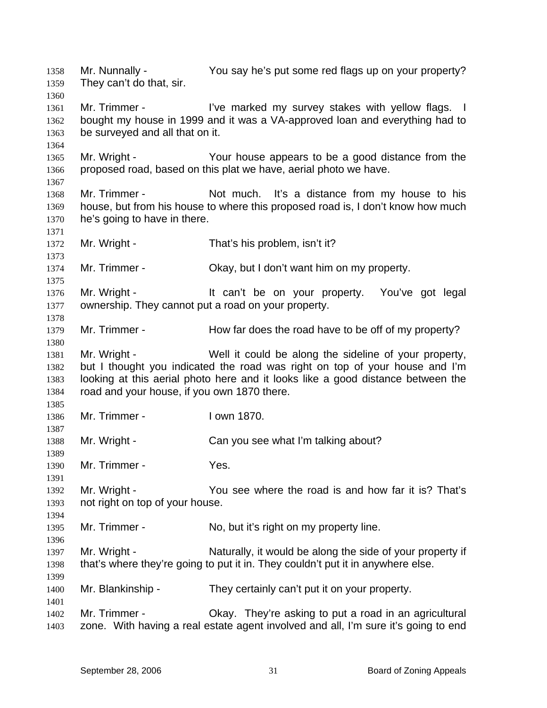Mr. Nunnally - You say he's put some red flags up on your property? They can't do that, sir. 1358 1359 1360 1361 1362 1363 1364 1365 1366 1367 1368 1369 1370 1371 1372 1373 1374 1375 1376 1377 1378 1379 1380 1381 1382 1383 1384 1385 1386 1387 1388 1389 1390 1391 1392 1393 1394 1395 1396 1397 1398 1399 1400 1401 1402 1403 Mr. Trimmer - I've marked my survey stakes with yellow flags. I bought my house in 1999 and it was a VA-approved loan and everything had to be surveyed and all that on it. Mr. Wright - The Your house appears to be a good distance from the proposed road, based on this plat we have, aerial photo we have. Mr. Trimmer - Not much. It's a distance from my house to his house, but from his house to where this proposed road is, I don't know how much he's going to have in there. Mr. Wright - That's his problem, isn't it? Mr. Trimmer - Ckay, but I don't want him on my property. Mr. Wright - The Muslim of the only our property. You've got legal ownership. They cannot put a road on your property. Mr. Trimmer - How far does the road have to be off of my property? Mr. Wright - Well it could be along the sideline of your property, but I thought you indicated the road was right on top of your house and I'm looking at this aerial photo here and it looks like a good distance between the road and your house, if you own 1870 there. Mr. Trimmer - I own 1870. Mr. Wright - Can you see what I'm talking about? Mr. Trimmer - Yes. Mr. Wright - That's You see where the road is and how far it is? That's not right on top of your house. Mr. Trimmer - No, but it's right on my property line. Mr. Wright - Naturally, it would be along the side of your property if that's where they're going to put it in. They couldn't put it in anywhere else. Mr. Blankinship - They certainly can't put it on your property. Mr. Trimmer - Ckay. They're asking to put a road in an agricultural zone. With having a real estate agent involved and all, I'm sure it's going to end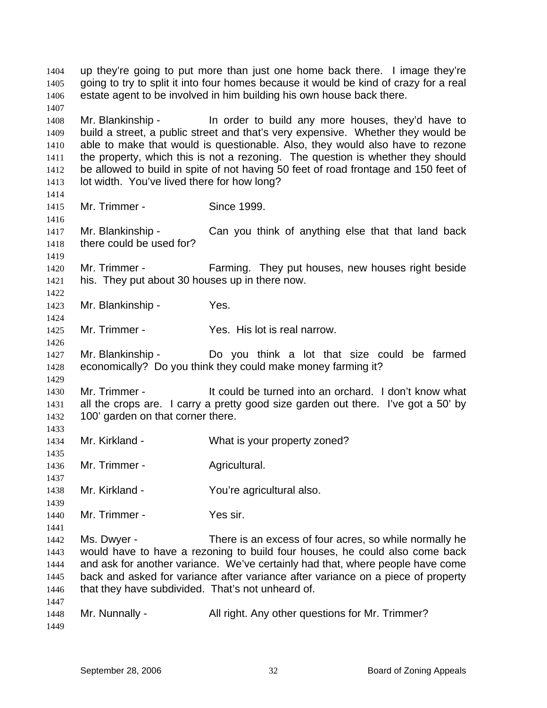up they're going to put more than just one home back there. I image they're going to try to split it into four homes because it would be kind of crazy for a real estate agent to be involved in him building his own house back there. 1404 1405 1406 1407 1408 1409 1410 1411 1412 1413 1414 1415 1416 1417 1418 1419 1420 1421 1422 1423 1424 1425 1426 1427 1428 1429 1430 1431 1432 1433 1434 1435 1436 1437 1438 1439 1440 1441 1442 1443 1444 1445 1446 1447 1448 1449 Mr. Blankinship - Theorder to build any more houses, they'd have to build a street, a public street and that's very expensive. Whether they would be able to make that would is questionable. Also, they would also have to rezone the property, which this is not a rezoning. The question is whether they should be allowed to build in spite of not having 50 feet of road frontage and 150 feet of lot width. You've lived there for how long? Mr. Trimmer - Since 1999. Mr. Blankinship - Can you think of anything else that that land back there could be used for? Mr. Trimmer - Farming. They put houses, new houses right beside his. They put about 30 houses up in there now. Mr. Blankinship - Yes. Mr. Trimmer - The Yes. His lot is real narrow. Mr. Blankinship - Do you think a lot that size could be farmed economically? Do you think they could make money farming it? Mr. Trimmer - It could be turned into an orchard. I don't know what all the crops are. I carry a pretty good size garden out there. I've got a 50' by 100' garden on that corner there. Mr. Kirkland - What is your property zoned? Mr. Trimmer - Agricultural. Mr. Kirkland - The You're agricultural also. Mr. Trimmer - Yes sir. Ms. Dwyer - There is an excess of four acres, so while normally he would have to have a rezoning to build four houses, he could also come back and ask for another variance. We've certainly had that, where people have come back and asked for variance after variance after variance on a piece of property that they have subdivided. That's not unheard of. Mr. Nunnally - All right. Any other questions for Mr. Trimmer?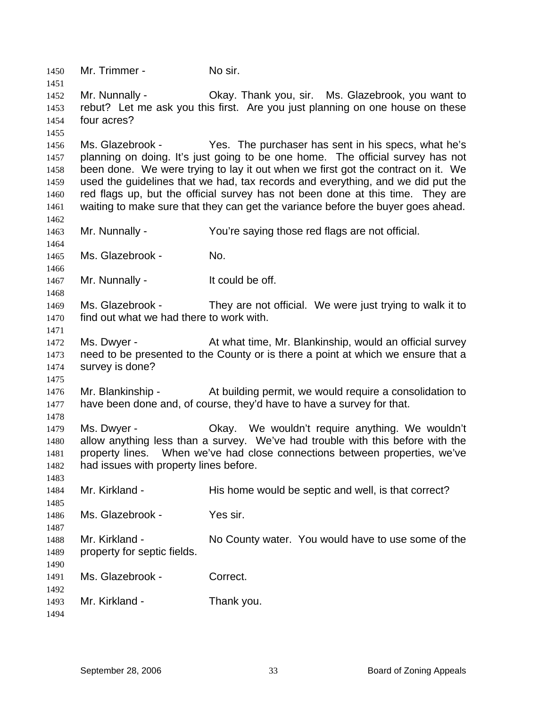1450 Mr. Trimmer - No sir. 1451 1452 1453 1454 1455 1456 1457 1458 1459 1460 1461 1462 1463 1464 1465 1466 1467 1468 1469 1470 1471 1472 1473 1474 1475 1476 1477 1478 1479 1480 1481 1482 1483 1484 1485 1486 1487 1488 1489 1490 1491 1492 1493 1494 Mr. Nunnally - Okay. Thank you, sir. Ms. Glazebrook, you want to rebut? Let me ask you this first. Are you just planning on one house on these four acres? Ms. Glazebrook - Yes. The purchaser has sent in his specs, what he's planning on doing. It's just going to be one home. The official survey has not been done. We were trying to lay it out when we first got the contract on it. We used the guidelines that we had, tax records and everything, and we did put the red flags up, but the official survey has not been done at this time. They are waiting to make sure that they can get the variance before the buyer goes ahead. Mr. Nunnally - You're saying those red flags are not official. Ms. Glazebrook - No. Mr. Nunnally - The Muslim of the off. Ms. Glazebrook - They are not official. We were just trying to walk it to find out what we had there to work with. Ms. Dwyer - **At what time, Mr. Blankinship, would an official survey** need to be presented to the County or is there a point at which we ensure that a survey is done? Mr. Blankinship - At building permit, we would require a consolidation to have been done and, of course, they'd have to have a survey for that. Ms. Dwyer - Okay. We wouldn't require anything. We wouldn't allow anything less than a survey. We've had trouble with this before with the property lines. When we've had close connections between properties, we've had issues with property lines before. Mr. Kirkland - This home would be septic and well, is that correct? Ms. Glazebrook - Yes sir. Mr. Kirkland - No County water. You would have to use some of the property for septic fields. Ms. Glazebrook - Correct. Mr. Kirkland - Thank you.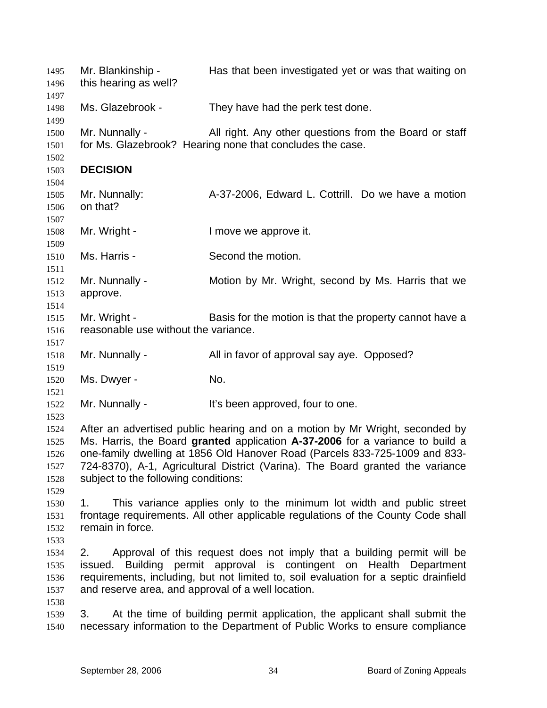| 1495<br>1496<br>1497                         | Mr. Blankinship -<br>this hearing as well?               | Has that been investigated yet or was that waiting on                                                                                                                                                                                                                                                                          |
|----------------------------------------------|----------------------------------------------------------|--------------------------------------------------------------------------------------------------------------------------------------------------------------------------------------------------------------------------------------------------------------------------------------------------------------------------------|
| 1498<br>1499                                 | Ms. Glazebrook -                                         | They have had the perk test done.                                                                                                                                                                                                                                                                                              |
| 1500<br>1501<br>1502                         | Mr. Nunnally -                                           | All right. Any other questions from the Board or staff<br>for Ms. Glazebrook? Hearing none that concludes the case.                                                                                                                                                                                                            |
| 1503<br>1504                                 | <b>DECISION</b>                                          |                                                                                                                                                                                                                                                                                                                                |
| 1505<br>1506<br>1507                         | Mr. Nunnally:<br>on that?                                | A-37-2006, Edward L. Cottrill. Do we have a motion                                                                                                                                                                                                                                                                             |
| 1508<br>1509                                 | Mr. Wright -                                             | I move we approve it.                                                                                                                                                                                                                                                                                                          |
| 1510<br>1511                                 | Ms. Harris -                                             | Second the motion.                                                                                                                                                                                                                                                                                                             |
| 1512<br>1513<br>1514                         | Mr. Nunnally -<br>approve.                               | Motion by Mr. Wright, second by Ms. Harris that we                                                                                                                                                                                                                                                                             |
| 1515<br>1516<br>1517                         | Mr. Wright -<br>reasonable use without the variance.     | Basis for the motion is that the property cannot have a                                                                                                                                                                                                                                                                        |
| 1518<br>1519                                 | Mr. Nunnally -                                           | All in favor of approval say aye. Opposed?                                                                                                                                                                                                                                                                                     |
| 1520<br>1521                                 | Ms. Dwyer -                                              | No.                                                                                                                                                                                                                                                                                                                            |
| 1522<br>1523                                 | Mr. Nunnally -                                           | It's been approved, four to one.                                                                                                                                                                                                                                                                                               |
| 1524<br>1525<br>1526<br>1527<br>1528<br>1529 | subject to the following conditions:                     | After an advertised public hearing and on a motion by Mr Wright, seconded by<br>Ms. Harris, the Board granted application A-37-2006 for a variance to build a<br>one-family dwelling at 1856 Old Hanover Road (Parcels 833-725-1009 and 833-<br>724-8370), A-1, Agricultural District (Varina). The Board granted the variance |
| 1530<br>1531<br>1532<br>1533                 | 1.<br>remain in force.                                   | This variance applies only to the minimum lot width and public street<br>frontage requirements. All other applicable regulations of the County Code shall                                                                                                                                                                      |
| 1534<br>1535<br>1536<br>1537                 | 2.<br>and reserve area, and approval of a well location. | Approval of this request does not imply that a building permit will be<br>issued. Building permit approval is contingent on Health Department<br>requirements, including, but not limited to, soil evaluation for a septic drainfield                                                                                          |
| 1538<br>1539<br>1540                         | 3.                                                       | At the time of building permit application, the applicant shall submit the<br>necessary information to the Department of Public Works to ensure compliance                                                                                                                                                                     |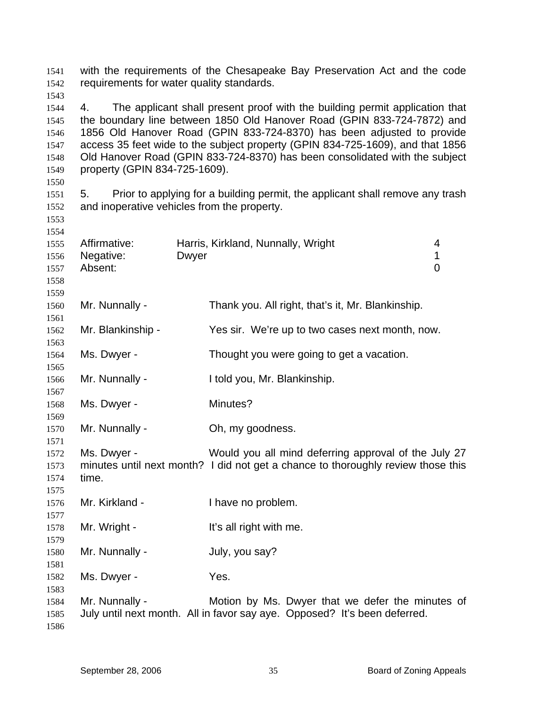with the requirements of the Chesapeake Bay Preservation Act and the code requirements for water quality standards. 

- 4. The applicant shall present proof with the building permit application that the boundary line between 1850 Old Hanover Road (GPIN 833-724-7872) and 1856 Old Hanover Road (GPIN 833-724-8370) has been adjusted to provide access 35 feet wide to the subject property (GPIN 834-725-1609), and that 1856 Old Hanover Road (GPIN 833-724-8370) has been consolidated with the subject property (GPIN 834-725-1609).
- 

 5. Prior to applying for a building permit, the applicant shall remove any trash and inoperative vehicles from the property.

| 1554 |                   |              |                                                                                  |                |
|------|-------------------|--------------|----------------------------------------------------------------------------------|----------------|
| 1555 | Affirmative:      |              | Harris, Kirkland, Nunnally, Wright                                               | 4              |
| 1556 | Negative:         | <b>Dwyer</b> |                                                                                  | $\mathbf 1$    |
| 1557 | Absent:           |              |                                                                                  | $\overline{0}$ |
| 1558 |                   |              |                                                                                  |                |
| 1559 |                   |              |                                                                                  |                |
| 1560 | Mr. Nunnally -    |              | Thank you. All right, that's it, Mr. Blankinship.                                |                |
| 1561 |                   |              |                                                                                  |                |
| 1562 | Mr. Blankinship - |              | Yes sir. We're up to two cases next month, now.                                  |                |
| 1563 |                   |              |                                                                                  |                |
| 1564 | Ms. Dwyer -       |              | Thought you were going to get a vacation.                                        |                |
| 1565 |                   |              |                                                                                  |                |
| 1566 | Mr. Nunnally -    |              | I told you, Mr. Blankinship.                                                     |                |
| 1567 |                   |              |                                                                                  |                |
| 1568 | Ms. Dwyer -       |              | Minutes?                                                                         |                |
| 1569 |                   |              |                                                                                  |                |
| 1570 | Mr. Nunnally -    |              | Oh, my goodness.                                                                 |                |
| 1571 |                   |              |                                                                                  |                |
| 1572 | Ms. Dwyer -       |              | Would you all mind deferring approval of the July 27                             |                |
| 1573 |                   |              | minutes until next month? I did not get a chance to thoroughly review those this |                |
| 1574 | time.             |              |                                                                                  |                |
| 1575 |                   |              |                                                                                  |                |
| 1576 | Mr. Kirkland -    |              | I have no problem.                                                               |                |
| 1577 |                   |              |                                                                                  |                |
| 1578 | Mr. Wright -      |              | It's all right with me.                                                          |                |
| 1579 |                   |              |                                                                                  |                |
| 1580 | Mr. Nunnally -    |              | July, you say?                                                                   |                |
| 1581 |                   |              |                                                                                  |                |
| 1582 | Ms. Dwyer -       |              | Yes.                                                                             |                |
| 1583 |                   |              |                                                                                  |                |
| 1584 | Mr. Nunnally -    |              | Motion by Ms. Dwyer that we defer the minutes of                                 |                |
| 1585 |                   |              | July until next month. All in favor say aye. Opposed? It's been deferred.        |                |
| 1586 |                   |              |                                                                                  |                |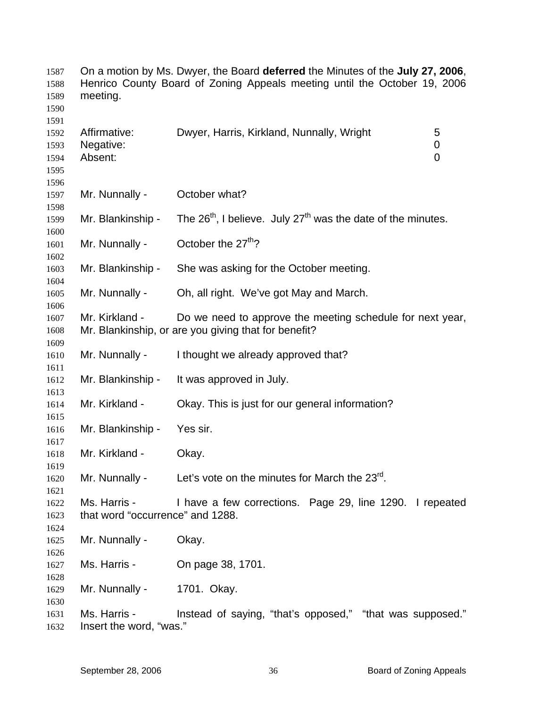| 1587<br>1588<br>1589<br>1590         | On a motion by Ms. Dwyer, the Board deferred the Minutes of the July 27, 2006,<br>Henrico County Board of Zoning Appeals meeting until the October 19, 2006<br>meeting. |                                                                                                                   |  |
|--------------------------------------|-------------------------------------------------------------------------------------------------------------------------------------------------------------------------|-------------------------------------------------------------------------------------------------------------------|--|
| 1591<br>1592<br>1593<br>1594<br>1595 | Affirmative:<br>Negative:<br>Absent:                                                                                                                                    | Dwyer, Harris, Kirkland, Nunnally, Wright<br>5<br>0<br>$\mathbf 0$                                                |  |
| 1596<br>1597<br>1598                 | Mr. Nunnally -                                                                                                                                                          | October what?                                                                                                     |  |
| 1599<br>1600                         | Mr. Blankinship -                                                                                                                                                       | The $26th$ , I believe. July $27th$ was the date of the minutes.                                                  |  |
| 1601<br>1602                         | Mr. Nunnally -                                                                                                                                                          | October the 27 <sup>th</sup> ?                                                                                    |  |
| 1603<br>1604                         | Mr. Blankinship -                                                                                                                                                       | She was asking for the October meeting.                                                                           |  |
| 1605<br>1606                         | Mr. Nunnally -                                                                                                                                                          | Oh, all right. We've got May and March.                                                                           |  |
| 1607<br>1608<br>1609                 | Mr. Kirkland -                                                                                                                                                          | Do we need to approve the meeting schedule for next year,<br>Mr. Blankinship, or are you giving that for benefit? |  |
| 1610<br>1611                         | Mr. Nunnally -                                                                                                                                                          | I thought we already approved that?                                                                               |  |
| 1612<br>1613                         | Mr. Blankinship -                                                                                                                                                       | It was approved in July.                                                                                          |  |
| 1614<br>1615                         | Mr. Kirkland -                                                                                                                                                          | Okay. This is just for our general information?                                                                   |  |
| 1616<br>1617                         | Mr. Blankinship -                                                                                                                                                       | Yes sir.                                                                                                          |  |
| 1618<br>1619                         | Mr. Kirkland -                                                                                                                                                          | Okay.                                                                                                             |  |
| 1620<br>1621                         |                                                                                                                                                                         | Mr. Nunnally - Let's vote on the minutes for March the $23^{\text{rd}}$ .                                         |  |
| 1622<br>1623<br>1624                 | Ms. Harris -<br>that word "occurrence" and 1288.                                                                                                                        | I have a few corrections. Page 29, line 1290. I repeated                                                          |  |
| 1625<br>1626                         | Mr. Nunnally -                                                                                                                                                          | Okay.                                                                                                             |  |
| 1627<br>1628                         | Ms. Harris -                                                                                                                                                            | On page 38, 1701.                                                                                                 |  |
| 1629<br>1630                         | Mr. Nunnally -                                                                                                                                                          | 1701. Okay.                                                                                                       |  |
| 1631<br>1632                         | Ms. Harris -<br>lnsert the word, "was."                                                                                                                                 | Instead of saying, "that's opposed," "that was supposed."                                                         |  |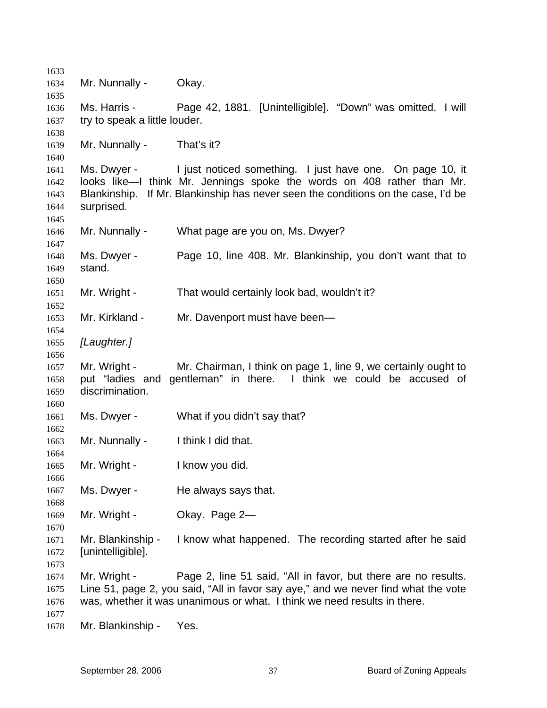Mr. Nunnally - Okay. Ms. Harris - Page 42, 1881. [Unintelligible]. "Down" was omitted. I will try to speak a little louder. Mr. Nunnally - That's it? Ms. Dwyer - I just noticed something. I just have one. On page 10, it looks like—I think Mr. Jennings spoke the words on 408 rather than Mr. Blankinship. If Mr. Blankinship has never seen the conditions on the case, I'd be surprised. Mr. Nunnally - What page are you on, Ms. Dwyer? Ms. Dwyer - Page 10, line 408. Mr. Blankinship, you don't want that to stand. Mr. Wright - That would certainly look bad, wouldn't it? Mr. Kirkland - Mr. Davenport must have been— *[Laughter.]* Mr. Wright - Mr. Chairman, I think on page 1, line 9, we certainly ought to put "ladies and gentleman" in there. I think we could be accused of discrimination. Ms. Dwyer - What if you didn't say that? Mr. Nunnally - I think I did that. Mr. Wright - I know you did. Ms. Dwyer - He always says that. Mr. Wright - Okay. Page 2-Mr. Blankinship - I know what happened. The recording started after he said [unintelligible]. Mr. Wright - Page 2, line 51 said, "All in favor, but there are no results. Line 51, page 2, you said, "All in favor say aye," and we never find what the vote was, whether it was unanimous or what. I think we need results in there. Mr. Blankinship - Yes.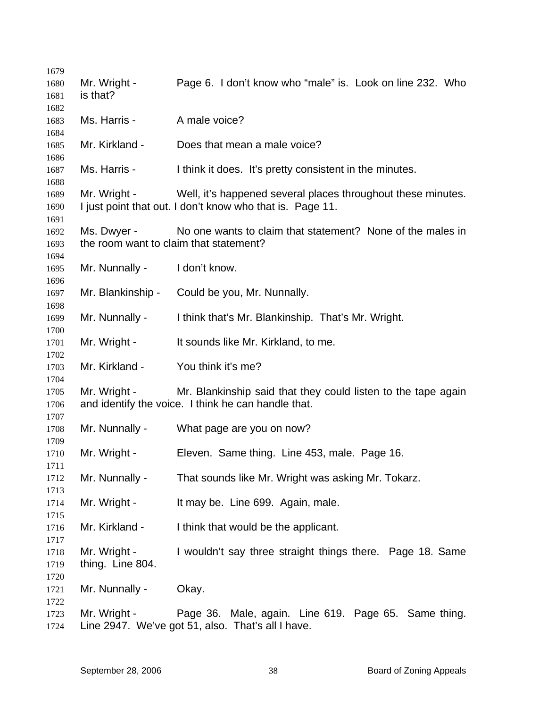| 1679 |                   |                                                               |
|------|-------------------|---------------------------------------------------------------|
| 1680 | Mr. Wright -      | Page 6. I don't know who "male" is. Look on line 232. Who     |
| 1681 | is that?          |                                                               |
| 1682 |                   |                                                               |
| 1683 | Ms. Harris -      | A male voice?                                                 |
| 1684 |                   |                                                               |
| 1685 | Mr. Kirkland -    | Does that mean a male voice?                                  |
| 1686 |                   |                                                               |
| 1687 | Ms. Harris -      | I think it does. It's pretty consistent in the minutes.       |
| 1688 |                   |                                                               |
| 1689 | Mr. Wright -      | Well, it's happened several places throughout these minutes.  |
| 1690 |                   | I just point that out. I don't know who that is. Page 11.     |
| 1691 |                   |                                                               |
| 1692 | Ms. Dwyer -       | No one wants to claim that statement? None of the males in    |
| 1693 |                   | the room want to claim that statement?                        |
| 1694 |                   |                                                               |
| 1695 | Mr. Nunnally -    | I don't know.                                                 |
| 1696 |                   |                                                               |
| 1697 | Mr. Blankinship - | Could be you, Mr. Nunnally.                                   |
| 1698 |                   |                                                               |
| 1699 | Mr. Nunnally -    | I think that's Mr. Blankinship. That's Mr. Wright.            |
| 1700 |                   |                                                               |
| 1701 | Mr. Wright -      | It sounds like Mr. Kirkland, to me.                           |
| 1702 |                   |                                                               |
| 1703 | Mr. Kirkland -    | You think it's me?                                            |
| 1704 |                   |                                                               |
| 1705 | Mr. Wright -      | Mr. Blankinship said that they could listen to the tape again |
| 1706 |                   | and identify the voice. I think he can handle that.           |
| 1707 |                   |                                                               |
| 1708 | Mr. Nunnally -    | What page are you on now?                                     |
| 1709 |                   |                                                               |
| 1710 | Mr. Wright -      | Eleven. Same thing. Line 453, male. Page 16.                  |
| 1711 |                   |                                                               |
| 1712 | Mr. Nunnally -    | That sounds like Mr. Wright was asking Mr. Tokarz.            |
| 1713 |                   |                                                               |
| 1714 | Mr. Wright -      | It may be. Line 699. Again, male.                             |
| 1715 |                   |                                                               |
| 1716 | Mr. Kirkland -    | I think that would be the applicant.                          |
| 1717 |                   |                                                               |
| 1718 | Mr. Wright -      | I wouldn't say three straight things there. Page 18. Same     |
| 1719 | thing. Line 804.  |                                                               |
| 1720 |                   |                                                               |
| 1721 | Mr. Nunnally -    | Okay.                                                         |
| 1722 |                   |                                                               |
| 1723 | Mr. Wright -      | Page 36. Male, again. Line 619. Page 65. Same thing.          |
| 1724 |                   | Line 2947. We've got 51, also. That's all I have.             |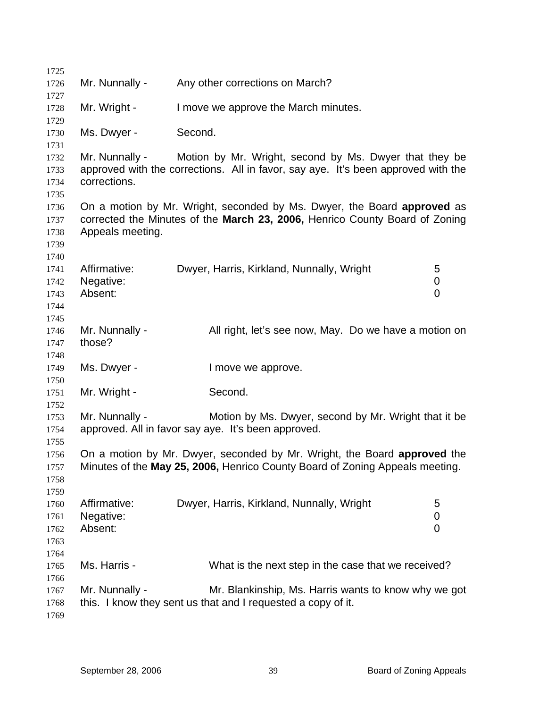| 1725         |                          |                                                                                   |                |
|--------------|--------------------------|-----------------------------------------------------------------------------------|----------------|
| 1726         | Mr. Nunnally -           | Any other corrections on March?                                                   |                |
| 1727         | Mr. Wright -             | I move we approve the March minutes.                                              |                |
| 1728<br>1729 |                          |                                                                                   |                |
| 1730         | Ms. Dwyer -              | Second.                                                                           |                |
| 1731         |                          |                                                                                   |                |
| 1732         | Mr. Nunnally -           | Motion by Mr. Wright, second by Ms. Dwyer that they be                            |                |
| 1733         |                          | approved with the corrections. All in favor, say aye. It's been approved with the |                |
| 1734         | corrections.             |                                                                                   |                |
| 1735<br>1736 |                          | On a motion by Mr. Wright, seconded by Ms. Dwyer, the Board approved as           |                |
| 1737         |                          | corrected the Minutes of the March 23, 2006, Henrico County Board of Zoning       |                |
| 1738         | Appeals meeting.         |                                                                                   |                |
| 1739         |                          |                                                                                   |                |
| 1740         |                          |                                                                                   |                |
| 1741         | Affirmative:             | Dwyer, Harris, Kirkland, Nunnally, Wright                                         | 5              |
| 1742         | Negative:                |                                                                                   | 0              |
| 1743         | Absent:                  |                                                                                   | $\overline{0}$ |
| 1744         |                          |                                                                                   |                |
| 1745         |                          |                                                                                   |                |
| 1746         | Mr. Nunnally -<br>those? | All right, let's see now, May. Do we have a motion on                             |                |
| 1747<br>1748 |                          |                                                                                   |                |
| 1749         | Ms. Dwyer -              | I move we approve.                                                                |                |
| 1750         |                          |                                                                                   |                |
| 1751         | Mr. Wright -             | Second.                                                                           |                |
| 1752         |                          |                                                                                   |                |
| 1753         | Mr. Nunnally -           | Motion by Ms. Dwyer, second by Mr. Wright that it be                              |                |
| 1754         |                          | approved. All in favor say aye. It's been approved.                               |                |
| 1755         |                          |                                                                                   |                |
| 1756         |                          | On a motion by Mr. Dwyer, seconded by Mr. Wright, the Board approved the          |                |
| 1757         |                          | Minutes of the May 25, 2006, Henrico County Board of Zoning Appeals meeting.      |                |
| 1758         |                          |                                                                                   |                |
| 1759<br>1760 | Affirmative:             | Dwyer, Harris, Kirkland, Nunnally, Wright                                         | 5              |
| 1761         | Negative:                |                                                                                   | 0              |
| 1762         | Absent:                  |                                                                                   | 0              |
| 1763         |                          |                                                                                   |                |
| 1764         |                          |                                                                                   |                |
| 1765         | Ms. Harris -             | What is the next step in the case that we received?                               |                |
| 1766         |                          |                                                                                   |                |
| 1767         | Mr. Nunnally -           | Mr. Blankinship, Ms. Harris wants to know why we got                              |                |
| 1768         |                          | this. I know they sent us that and I requested a copy of it.                      |                |
| 1769         |                          |                                                                                   |                |